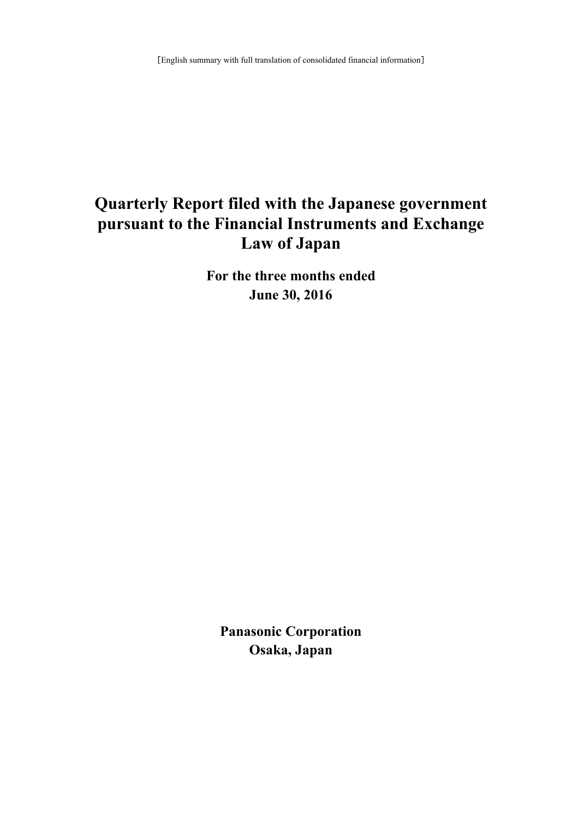# **Quarterly Report filed with the Japanese government pursuant to the Financial Instruments and Exchange Law of Japan**

**For the three months ended June 30, 2016**

**Panasonic Corporation Osaka, Japan**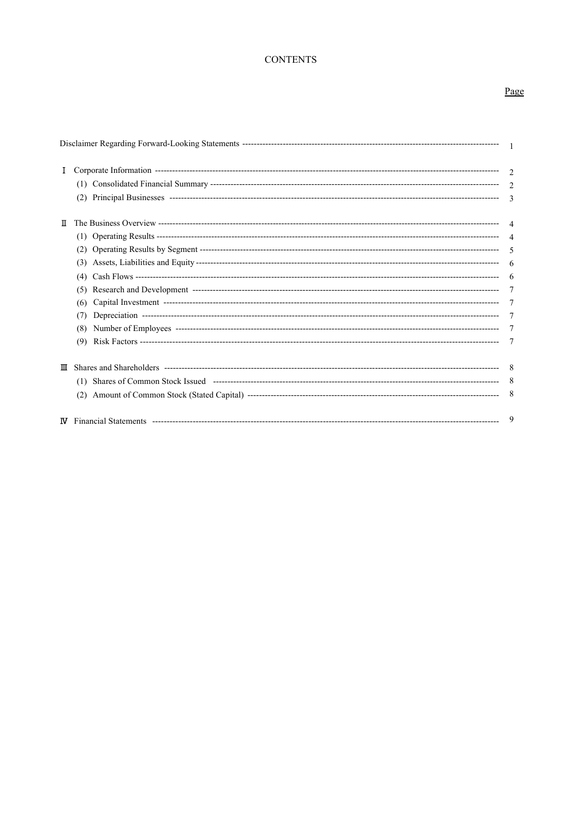# **CONTENTS**

# Page

| Ι. |                                        |   |
|----|----------------------------------------|---|
|    |                                        |   |
| π  | (3)<br>(4)<br>(5)<br>(6)<br>(7)<br>(8) |   |
| Ш  |                                        |   |
| M  |                                        | 9 |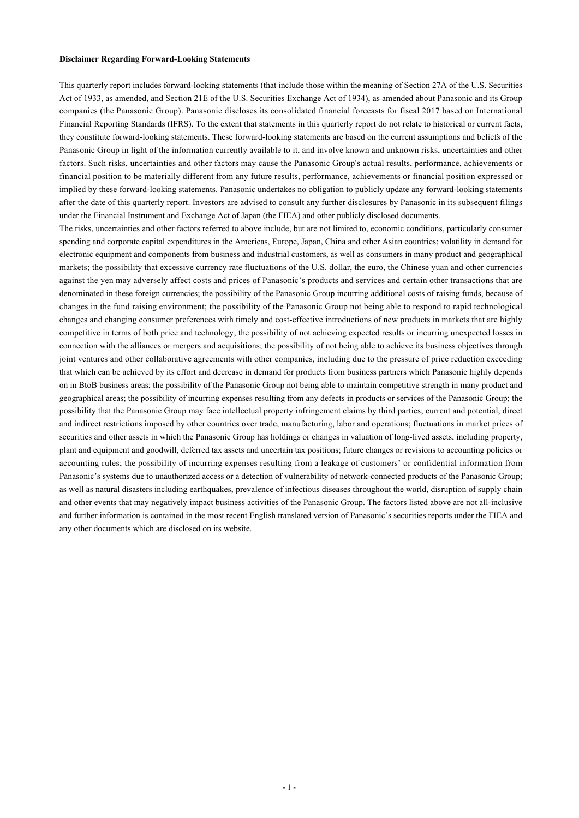#### **Disclaimer Regarding Forward-Looking Statements**

This quarterly report includes forward-looking statements (that include those within the meaning of Section 27A of the U.S. Securities Act of 1933, as amended, and Section 21E of the U.S. Securities Exchange Act of 1934), as amended about Panasonic and its Group companies (the Panasonic Group). Panasonic discloses its consolidated financial forecasts for fiscal 2017 based on International Financial Reporting Standards (IFRS). To the extent that statements in this quarterly report do not relate to historical or current facts, they constitute forward-looking statements. These forward-looking statements are based on the current assumptions and beliefs of the Panasonic Group in light of the information currently available to it, and involve known and unknown risks, uncertainties and other factors. Such risks, uncertainties and other factors may cause the Panasonic Group's actual results, performance, achievements or financial position to be materially different from any future results, performance, achievements or financial position expressed or implied by these forward-looking statements. Panasonic undertakes no obligation to publicly update any forward-looking statements after the date of this quarterly report. Investors are advised to consult any further disclosures by Panasonic in its subsequent filings under the Financial Instrument and Exchange Act of Japan (the FIEA) and other publicly disclosed documents.

The risks, uncertainties and other factors referred to above include, but are not limited to, economic conditions, particularly consumer spending and corporate capital expenditures in the Americas, Europe, Japan, China and other Asian countries; volatility in demand for electronic equipment and components from business and industrial customers, as well as consumers in many product and geographical markets; the possibility that excessive currency rate fluctuations of the U.S. dollar, the euro, the Chinese yuan and other currencies against the yen may adversely affect costs and prices of Panasonic's products and services and certain other transactions that are denominated in these foreign currencies; the possibility of the Panasonic Group incurring additional costs of raising funds, because of changes in the fund raising environment; the possibility of the Panasonic Group not being able to respond to rapid technological changes and changing consumer preferences with timely and cost-effective introductions of new products in markets that are highly competitive in terms of both price and technology; the possibility of not achieving expected results or incurring unexpected losses in connection with the alliances or mergers and acquisitions; the possibility of not being able to achieve its business objectives through joint ventures and other collaborative agreements with other companies, including due to the pressure of price reduction exceeding that which can be achieved by its effort and decrease in demand for products from business partners which Panasonic highly depends on in BtoB business areas; the possibility of the Panasonic Group not being able to maintain competitive strength in many product and geographical areas; the possibility of incurring expenses resulting from any defects in products or services of the Panasonic Group; the possibility that the Panasonic Group may face intellectual property infringement claims by third parties; current and potential, direct and indirect restrictions imposed by other countries over trade, manufacturing, labor and operations; fluctuations in market prices of securities and other assets in which the Panasonic Group has holdings or changes in valuation of long-lived assets, including property, plant and equipment and goodwill, deferred tax assets and uncertain tax positions; future changes or revisions to accounting policies or accounting rules; the possibility of incurring expenses resulting from a leakage of customers' or confidential information from Panasonic's systems due to unauthorized access or a detection of vulnerability of network-connected products of the Panasonic Group; as well as natural disasters including earthquakes, prevalence of infectious diseases throughout the world, disruption of supply chain and other events that may negatively impact business activities of the Panasonic Group. The factors listed above are not all-inclusive and further information is contained in the most recent English translated version of Panasonic's securities reports under the FIEA and any other documents which are disclosed on its website.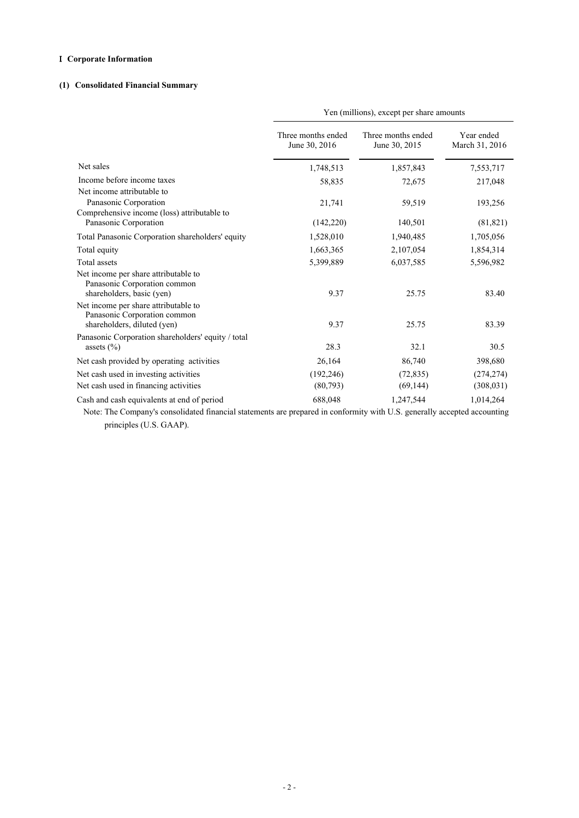### **Corporate Information**

### **(1) Consolidated Financial Summary**

| Yen (millions), except per share amounts |                                     |                                     |                                                                                                                                                                                                                    |
|------------------------------------------|-------------------------------------|-------------------------------------|--------------------------------------------------------------------------------------------------------------------------------------------------------------------------------------------------------------------|
| Year ended<br>March 31, 2016             | Three months ended<br>June 30, 2015 | Three months ended<br>June 30, 2016 |                                                                                                                                                                                                                    |
| 7,553,717                                | 1,857,843                           | 1,748,513                           | Net sales                                                                                                                                                                                                          |
| 217,048                                  | 72,675                              | 58,835                              | Income before income taxes                                                                                                                                                                                         |
| 193,256<br>(81, 821)                     | 59,519<br>140,501                   | 21,741<br>(142,220)                 | Net income attributable to<br>Panasonic Corporation<br>Comprehensive income (loss) attributable to<br>Panasonic Corporation                                                                                        |
|                                          |                                     |                                     |                                                                                                                                                                                                                    |
| 1,705,056                                | 1,940,485                           | 1,528,010                           | Total Panasonic Corporation shareholders' equity                                                                                                                                                                   |
| 1,854,314                                |                                     |                                     |                                                                                                                                                                                                                    |
| 5,596,982                                | 6,037,585                           | 5,399,889                           |                                                                                                                                                                                                                    |
| 83.40<br>83.39                           | 25.75<br>25.75                      | 9.37<br>9.37                        | Net income per share attributable to<br>Panasonic Corporation common<br>shareholders, basic (yen)<br>Net income per share attributable to<br>Panasonic Corporation common<br>shareholders, diluted (yen)           |
| 30.5                                     | 32.1                                | 28.3                                | assets $(\% )$                                                                                                                                                                                                     |
| 398,680                                  | 86,740                              | 26,164                              | Net cash provided by operating activities                                                                                                                                                                          |
| (274, 274)                               |                                     |                                     |                                                                                                                                                                                                                    |
| (308, 031)                               | (69, 144)                           | (80,793)                            |                                                                                                                                                                                                                    |
| 1,014,264                                | 1,247,544                           | 688,048                             |                                                                                                                                                                                                                    |
|                                          | 2,107,054<br>(72, 835)              | 1,663,365<br>(192, 246)             | Total equity<br>Total assets<br>Panasonic Corporation shareholders' equity / total<br>Net cash used in investing activities<br>Net cash used in financing activities<br>Cash and cash equivalents at end of period |

 Note: The Company's consolidated financial statements are prepared in conformity with U.S. generally accepted accounting principles (U.S. GAAP).

- 2 -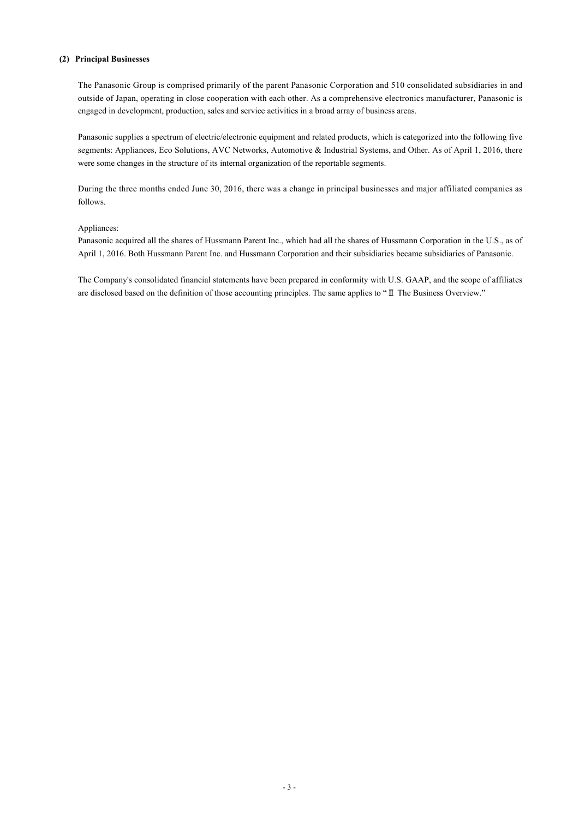#### **(2) Principal Businesses**

The Panasonic Group is comprised primarily of the parent Panasonic Corporation and 510 consolidated subsidiaries in and outside of Japan, operating in close cooperation with each other. As a comprehensive electronics manufacturer, Panasonic is engaged in development, production, sales and service activities in a broad array of business areas.

Panasonic supplies a spectrum of electric/electronic equipment and related products, which is categorized into the following five segments: Appliances, Eco Solutions, AVC Networks, Automotive & Industrial Systems, and Other. As of April 1, 2016, there were some changes in the structure of its internal organization of the reportable segments.

During the three months ended June 30, 2016, there was a change in principal businesses and major affiliated companies as follows.

#### Appliances:

Panasonic acquired all the shares of Hussmann Parent Inc., which had all the shares of Hussmann Corporation in the U.S., as of April 1, 2016. Both Hussmann Parent Inc. and Hussmann Corporation and their subsidiaries became subsidiaries of Panasonic.

The Company's consolidated financial statements have been prepared in conformity with U.S. GAAP, and the scope of affiliates are disclosed based on the definition of those accounting principles. The same applies to "II The Business Overview."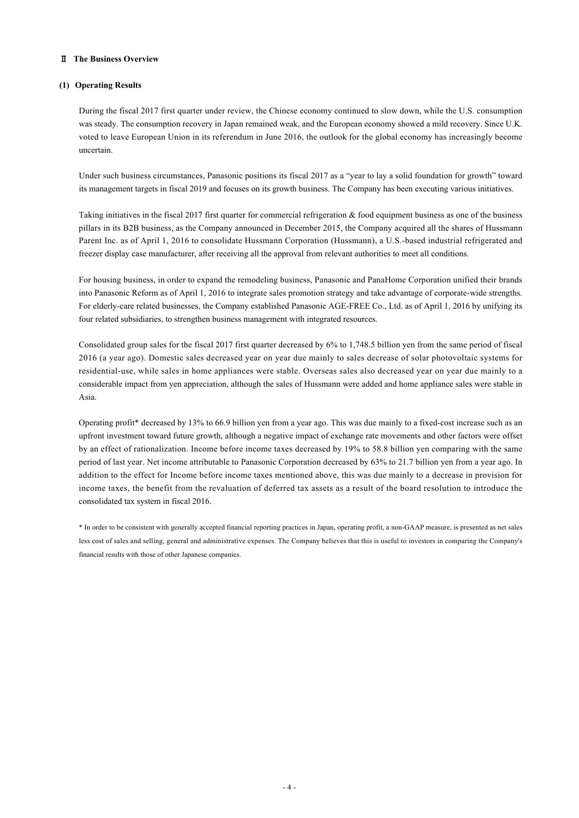### **The Business Overview**

### **(1) Operating Results**

During the fiscal 2017 first quarter under review, the Chinese economy continued to slow down, while the U.S. consumption was steady. The consumption recovery in Japan remained weak, and the European economy showed a mild recovery. Since U.K. voted to leave European Union in its referendum in June 2016, the outlook for the global economy has increasingly become uncertain.

Under such business circumstances, Panasonic positions its fiscal 2017 as a "year to lay a solid foundation for growth" toward its management targets in fiscal 2019 and focuses on its growth business. The Company has been executing various initiatives.

Taking initiatives in the fiscal 2017 first quarter for commercial refrigeration & food equipment business as one of the business pillars in its B2B business, as the Company announced in December 2015, the Company acquired all the shares of Hussmann Parent Inc. as of April 1, 2016 to consolidate Hussmann Corporation (Hussmann), a U.S.-based industrial refrigerated and freezer display case manufacturer, after receiving all the approval from relevant authorities to meet all conditions.

For housing business, in order to expand the remodeling business, Panasonic and PanaHome Corporation unified their brands into Panasonic Reform as of April 1, 2016 to integrate sales promotion strategy and take advantage of corporate-wide strengths. For elderly-care related businesses, the Company established Panasonic AGE-FREE Co., Ltd. as of April 1, 2016 by unifying its four related subsidiaries, to strengthen business management with integrated resources.

Consolidated group sales for the fiscal 2017 first quarter decreased by 6% to 1,748.5 billion yen from the same period of fiscal 2016 (a year ago). Domestic sales decreased year on year due mainly to sales decrease of solar photovoltaic systems for residential-use, while sales in home appliances were stable. Overseas sales also decreased year on year due mainly to a considerable impact from yen appreciation, although the sales of Hussmann were added and home appliance sales were stable in Asia.

Operating profit\* decreased by 13% to 66.9 billion yen from a year ago. This was due mainly to a fixed-cost increase such as an upfront investment toward future growth, although a negative impact of exchange rate movements and other factors were offset by an effect of rationalization. Income before income taxes decreased by 19% to 58.8 billion yen comparing with the same period of last year. Net income attributable to Panasonic Corporation decreased by 63% to 21.7 billion yen from a year ago. In addition to the effect for Income before income taxes mentioned above, this was due mainly to a decrease in provision for income taxes, the benefit from the revaluation of deferred tax assets as a result of the board resolution to introduce the consolidated tax system in fiscal 2016.

\* In order to be consistent with generally accepted financial reporting practices in Japan, operating profit, a non-GAAP measure, is presented as net sales less cost of sales and selling, general and administrative expenses. The Company believes that this is useful to investors in comparing the Company's financial results with those of other Japanese companies.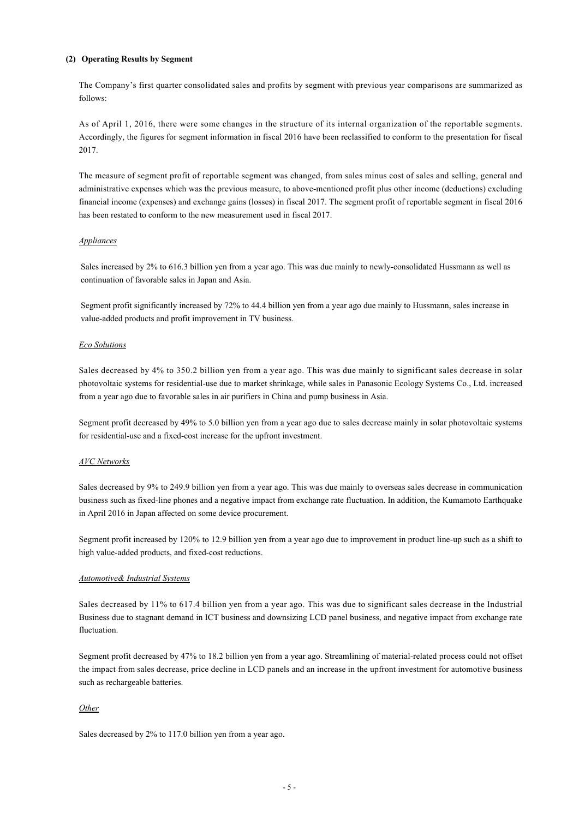### **(2) Operating Results by Segment**

The Company's first quarter consolidated sales and profits by segment with previous year comparisons are summarized as follows:

As of April 1, 2016, there were some changes in the structure of its internal organization of the reportable segments. Accordingly, the figures for segment information in fiscal 2016 have been reclassified to conform to the presentation for fiscal 2017.

The measure of segment profit of reportable segment was changed, from sales minus cost of sales and selling, general and administrative expenses which was the previous measure, to above-mentioned profit plus other income (deductions) excluding financial income (expenses) and exchange gains (losses) in fiscal 2017. The segment profit of reportable segment in fiscal 2016 has been restated to conform to the new measurement used in fiscal 2017.

#### *Appliances*

Sales increased by 2% to 616.3 billion yen from a year ago. This was due mainly to newly-consolidated Hussmann as well as continuation of favorable sales in Japan and Asia.

Segment profit significantly increased by 72% to 44.4 billion yen from a year ago due mainly to Hussmann, sales increase in value-added products and profit improvement in TV business.

#### *Eco Solutions*

Sales decreased by 4% to 350.2 billion yen from a year ago. This was due mainly to significant sales decrease in solar photovoltaic systems for residential-use due to market shrinkage, while sales in Panasonic Ecology Systems Co., Ltd. increased from a year ago due to favorable sales in air purifiers in China and pump business in Asia.

Segment profit decreased by 49% to 5.0 billion yen from a year ago due to sales decrease mainly in solar photovoltaic systems for residential-use and a fixed-cost increase for the upfront investment.

#### *AVC Networks*

Sales decreased by 9% to 249.9 billion yen from a year ago. This was due mainly to overseas sales decrease in communication business such as fixed-line phones and a negative impact from exchange rate fluctuation. In addition, the Kumamoto Earthquake in April 2016 in Japan affected on some device procurement.

Segment profit increased by 120% to 12.9 billion yen from a year ago due to improvement in product line-up such as a shift to high value-added products, and fixed-cost reductions.

### *Automotive& Industrial Systems*

Sales decreased by 11% to 617.4 billion yen from a year ago. This was due to significant sales decrease in the Industrial Business due to stagnant demand in ICT business and downsizing LCD panel business, and negative impact from exchange rate fluctuation.

Segment profit decreased by 47% to 18.2 billion yen from a year ago. Streamlining of material-related process could not offset the impact from sales decrease, price decline in LCD panels and an increase in the upfront investment for automotive business such as rechargeable batteries.

### *Other*

Sales decreased by 2% to 117.0 billion yen from a year ago.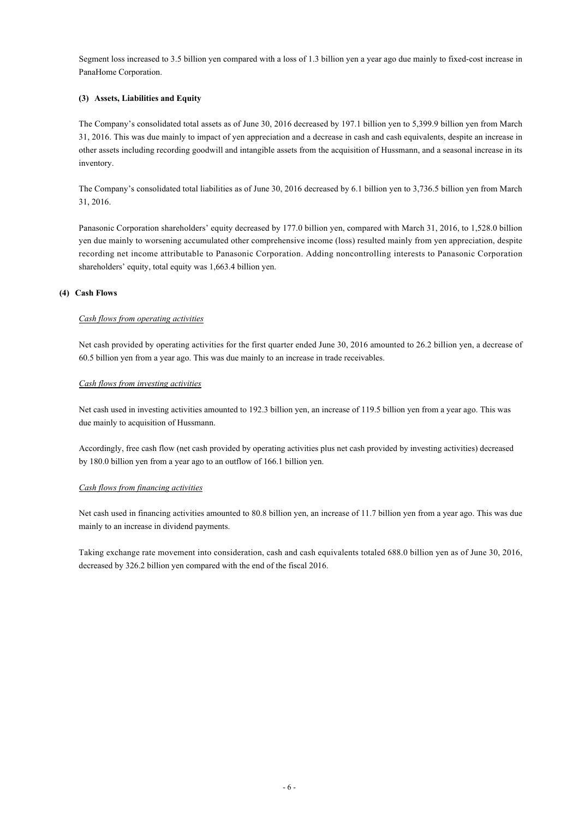Segment loss increased to 3.5 billion yen compared with a loss of 1.3 billion yen a year ago due mainly to fixed-cost increase in PanaHome Corporation.

### **(3) Assets, Liabilities and Equity**

The Company's consolidated total assets as of June 30, 2016 decreased by 197.1 billion yen to 5,399.9 billion yen from March 31, 2016. This was due mainly to impact of yen appreciation and a decrease in cash and cash equivalents, despite an increase in other assets including recording goodwill and intangible assets from the acquisition of Hussmann, and a seasonal increase in its inventory.

The Company's consolidated total liabilities as of June 30, 2016 decreased by 6.1 billion yen to 3,736.5 billion yen from March 31, 2016.

Panasonic Corporation shareholders' equity decreased by 177.0 billion yen, compared with March 31, 2016, to 1,528.0 billion yen due mainly to worsening accumulated other comprehensive income (loss) resulted mainly from yen appreciation, despite recording net income attributable to Panasonic Corporation. Adding noncontrolling interests to Panasonic Corporation shareholders' equity, total equity was 1,663.4 billion yen.

### **(4) Cash Flows**

#### *Cash flows from operating activities*

Net cash provided by operating activities for the first quarter ended June 30, 2016 amounted to 26.2 billion yen, a decrease of 60.5 billion yen from a year ago. This was due mainly to an increase in trade receivables.

#### *Cash flows from investing activities*

Net cash used in investing activities amounted to 192.3 billion yen, an increase of 119.5 billion yen from a year ago. This was due mainly to acquisition of Hussmann.

Accordingly, free cash flow (net cash provided by operating activities plus net cash provided by investing activities) decreased by 180.0 billion yen from a year ago to an outflow of 166.1 billion yen.

#### *Cash flows from financing activities*

Net cash used in financing activities amounted to 80.8 billion yen, an increase of 11.7 billion yen from a year ago. This was due mainly to an increase in dividend payments.

Taking exchange rate movement into consideration, cash and cash equivalents totaled 688.0 billion yen as of June 30, 2016, decreased by 326.2 billion yen compared with the end of the fiscal 2016.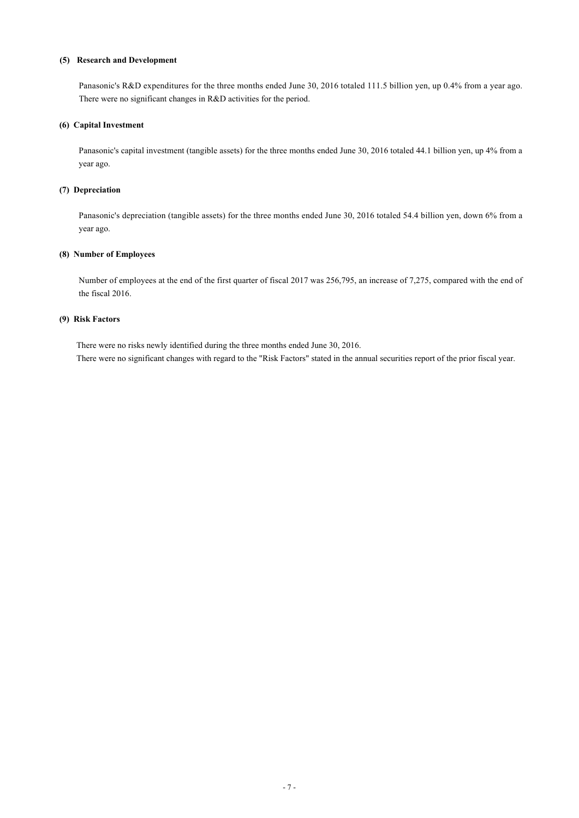### **(5) Research and Development**

Panasonic's R&D expenditures for the three months ended June 30, 2016 totaled 111.5 billion yen, up 0.4% from a year ago. There were no significant changes in R&D activities for the period.

### **(6) Capital Investment**

Panasonic's capital investment (tangible assets) for the three months ended June 30, 2016 totaled 44.1 billion yen, up 4% from a year ago.

### **(7) Depreciation**

Panasonic's depreciation (tangible assets) for the three months ended June 30, 2016 totaled 54.4 billion yen, down 6% from a year ago.

### **(8) Number of Employees**

Number of employees at the end of the first quarter of fiscal 2017 was 256,795, an increase of 7,275, compared with the end of the fiscal 2016.

### **(9) Risk Factors**

There were no risks newly identified during the three months ended June 30, 2016. There were no significant changes with regard to the "Risk Factors" stated in the annual securities report of the prior fiscal year.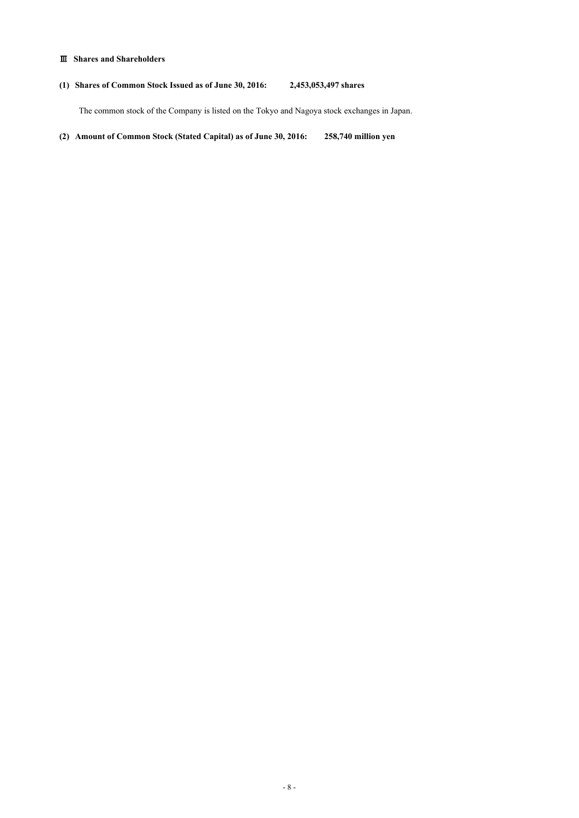### **Shares and Shareholders**

### **(1) Shares of Common Stock Issued as of June 30, 2016: 2,453,053,497 shares**

The common stock of the Company is listed on the Tokyo and Nagoya stock exchanges in Japan.

**(2) Amount of Common Stock (Stated Capital) as of June 30, 2016: 258,740 million yen**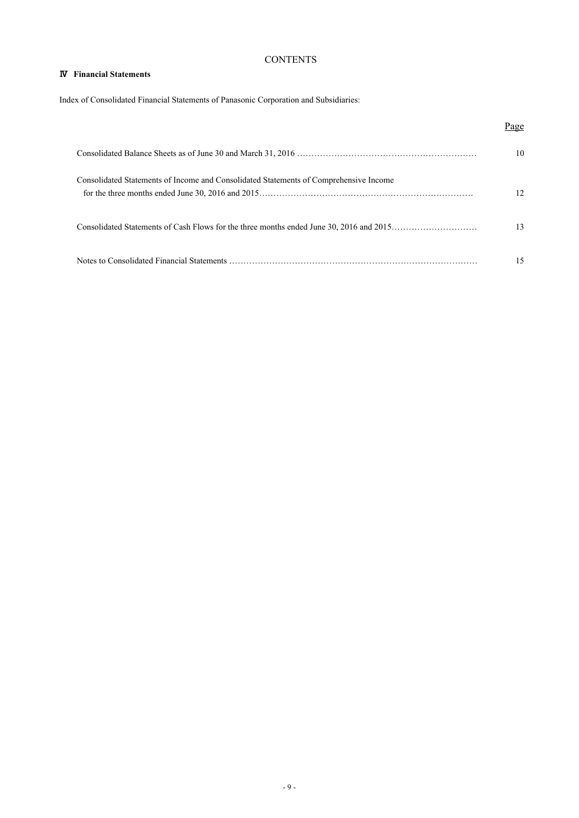## **CONTENTS**

### **Financial Statements**

Index of Consolidated Financial Statements of Panasonic Corporation and Subsidiaries:

|                                                                                       | Page |
|---------------------------------------------------------------------------------------|------|
|                                                                                       | 10   |
| Consolidated Statements of Income and Consolidated Statements of Comprehensive Income | 12   |
|                                                                                       | 13   |
|                                                                                       | 15   |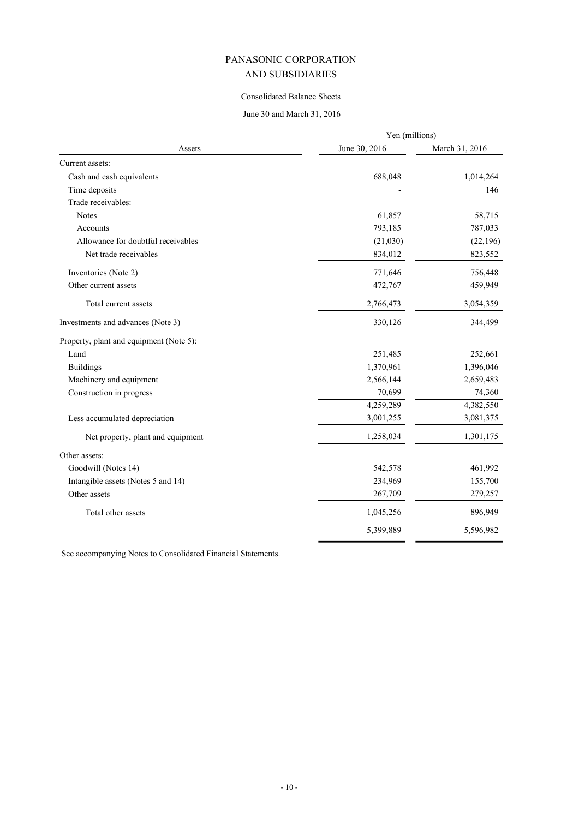### Consolidated Balance Sheets

# June 30 and March 31, 2016

| Assets                                  | Yen (millions) |                |
|-----------------------------------------|----------------|----------------|
|                                         | June 30, 2016  | March 31, 2016 |
| Current assets:                         |                |                |
| Cash and cash equivalents               | 688,048        | 1,014,264      |
| Time deposits                           |                | 146            |
| Trade receivables:                      |                |                |
| <b>Notes</b>                            | 61,857         | 58,715         |
| Accounts                                | 793,185        | 787,033        |
| Allowance for doubtful receivables      | (21,030)       | (22, 196)      |
| Net trade receivables                   | 834,012        | 823,552        |
| Inventories (Note 2)                    | 771,646        | 756,448        |
| Other current assets                    | 472,767        | 459,949        |
| Total current assets                    | 2,766,473      | 3,054,359      |
| Investments and advances (Note 3)       | 330,126        | 344,499        |
| Property, plant and equipment (Note 5): |                |                |
| Land                                    | 251,485        | 252,661        |
| <b>Buildings</b>                        | 1,370,961      | 1,396,046      |
| Machinery and equipment                 | 2,566,144      | 2,659,483      |
| Construction in progress                | 70,699         | 74,360         |
|                                         | 4,259,289      | 4,382,550      |
| Less accumulated depreciation           | 3,001,255      | 3,081,375      |
| Net property, plant and equipment       | 1,258,034      | 1,301,175      |
| Other assets:                           |                |                |
| Goodwill (Notes 14)                     | 542,578        | 461,992        |
| Intangible assets (Notes 5 and 14)      | 234,969        | 155,700        |
| Other assets                            | 267,709        | 279,257        |
| Total other assets                      | 1,045,256      | 896,949        |
|                                         | 5,399,889      | 5,596,982      |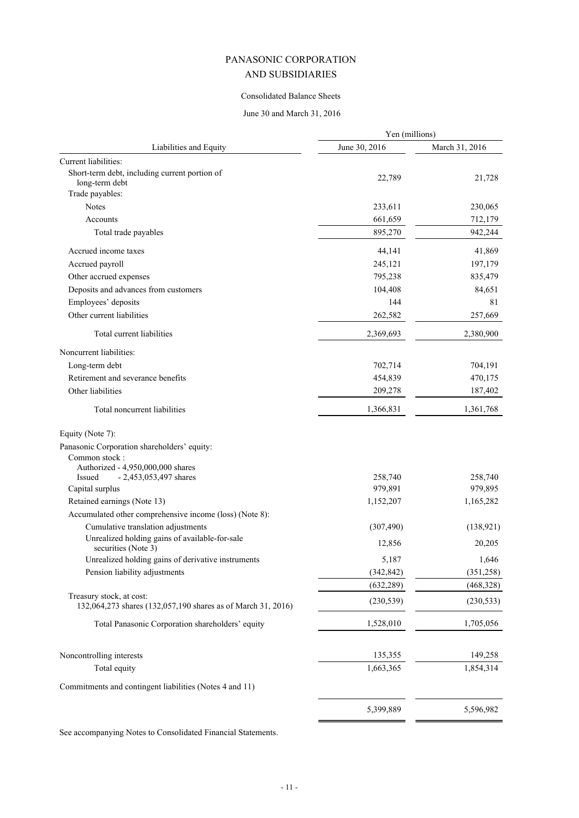### Consolidated Balance Sheets

### June 30 and March 31, 2016

|                                                                                          | Yen (millions)     |                    |
|------------------------------------------------------------------------------------------|--------------------|--------------------|
| Liabilities and Equity                                                                   | June 30, 2016      | March 31, 2016     |
| Current liabilities:                                                                     |                    |                    |
| Short-term debt, including current portion of<br>long-term debt                          | 22,789             | 21,728             |
| Trade payables:<br><b>Notes</b>                                                          |                    |                    |
|                                                                                          | 233,611            | 230,065            |
| Accounts<br>Total trade payables                                                         | 661,659<br>895,270 | 712,179<br>942,244 |
|                                                                                          |                    |                    |
| Accrued income taxes                                                                     | 44,141             | 41,869             |
| Accrued payroll                                                                          | 245,121            | 197,179            |
| Other accrued expenses                                                                   | 795,238            | 835,479            |
| Deposits and advances from customers                                                     | 104,408            | 84,651             |
| Employees' deposits                                                                      | 144                | 81                 |
| Other current liabilities                                                                | 262,582            | 257,669            |
| Total current liabilities                                                                | 2,369,693          | 2,380,900          |
| Noncurrent liabilities:                                                                  |                    |                    |
| Long-term debt                                                                           | 702,714            | 704,191            |
| Retirement and severance benefits                                                        | 454,839            | 470,175            |
| Other liabilities                                                                        | 209,278            | 187,402            |
| Total noncurrent liabilities                                                             | 1,366,831          | 1,361,768          |
| Equity (Note 7):                                                                         |                    |                    |
| Panasonic Corporation shareholders' equity:                                              |                    |                    |
| Common stock:                                                                            |                    |                    |
| Authorized - 4,950,000,000 shares<br>Issued                                              | 258,740            | 258,740            |
| $-2,453,053,497$ shares<br>Capital surplus                                               | 979,891            | 979,895            |
| Retained earnings (Note 13)                                                              | 1,152,207          | 1,165,282          |
| Accumulated other comprehensive income (loss) (Note 8):                                  |                    |                    |
| Cumulative translation adjustments                                                       | (307, 490)         | (138, 921)         |
| Unrealized holding gains of available-for-sale                                           |                    |                    |
| securities (Note 3)                                                                      | 12,856             | 20,205             |
| Unrealized holding gains of derivative instruments                                       | 5,187              | 1,646              |
| Pension liability adjustments                                                            | (342, 842)         | (351, 258)         |
|                                                                                          | (632, 289)         | (468, 328)         |
| Treasury stock, at cost:<br>132,064,273 shares (132,057,190 shares as of March 31, 2016) | (230, 539)         | (230, 533)         |
| Total Panasonic Corporation shareholders' equity                                         | 1,528,010          | 1,705,056          |
| Noncontrolling interests                                                                 | 135,355            | 149,258            |
| Total equity                                                                             | 1,663,365          | 1,854,314          |
|                                                                                          |                    |                    |
| Commitments and contingent liabilities (Notes 4 and 11)                                  |                    |                    |
|                                                                                          | 5,399,889          | 5,596,982          |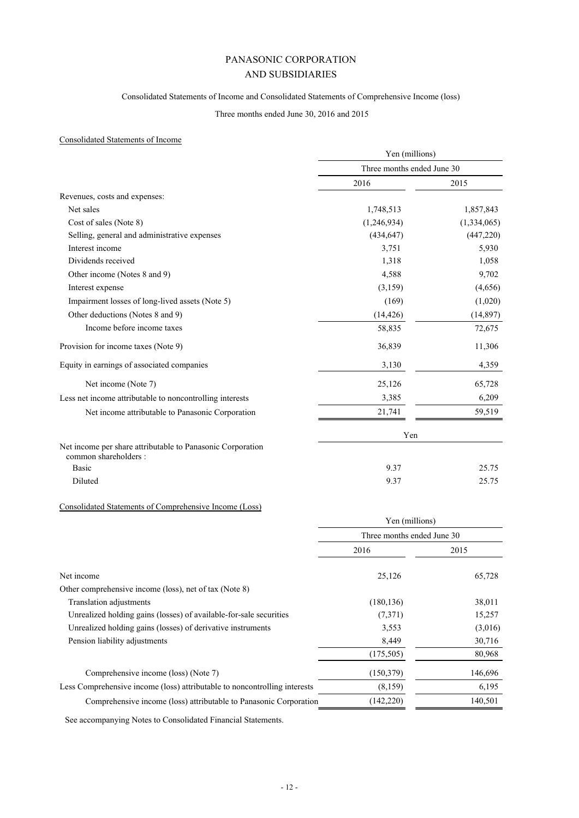### Consolidated Statements of Income and Consolidated Statements of Comprehensive Income (loss)

### Three months ended June 30, 2016 and 2015

### Consolidated Statements of Income

|                                                                                     | Yen (millions)             |             |
|-------------------------------------------------------------------------------------|----------------------------|-------------|
|                                                                                     | Three months ended June 30 |             |
|                                                                                     | 2016                       | 2015        |
| Revenues, costs and expenses:                                                       |                            |             |
| Net sales                                                                           | 1,748,513                  | 1,857,843   |
| Cost of sales (Note 8)                                                              | (1,246,934)                | (1,334,065) |
| Selling, general and administrative expenses                                        | (434, 647)                 | (447, 220)  |
| Interest income                                                                     | 3,751                      | 5,930       |
| Dividends received                                                                  | 1,318                      | 1,058       |
| Other income (Notes 8 and 9)                                                        | 4,588                      | 9,702       |
| Interest expense                                                                    | (3,159)                    | (4,656)     |
| Impairment losses of long-lived assets (Note 5)                                     | (169)                      | (1,020)     |
| Other deductions (Notes 8 and 9)                                                    | (14, 426)                  | (14, 897)   |
| Income before income taxes                                                          | 58,835                     | 72,675      |
| Provision for income taxes (Note 9)                                                 | 36,839                     | 11,306      |
| Equity in earnings of associated companies                                          | 3,130                      | 4,359       |
| Net income (Note 7)                                                                 | 25,126                     | 65,728      |
| Less net income attributable to noncontrolling interests                            | 3,385                      | 6,209       |
| Net income attributable to Panasonic Corporation                                    | 21,741                     | 59,519      |
|                                                                                     | Yen                        |             |
| Net income per share attributable to Panasonic Corporation<br>common shareholders : |                            |             |
| <b>Basic</b>                                                                        | 9.37                       | 25.75       |
| Diluted                                                                             | 9.37                       | 25.75       |

### Consolidated Statements of Comprehensive Income (Loss)

|                                                                           | Yen (millions)<br>Three months ended June 30 |         |
|---------------------------------------------------------------------------|----------------------------------------------|---------|
|                                                                           |                                              |         |
|                                                                           | 2016                                         | 2015    |
| Net income                                                                | 25,126                                       | 65,728  |
| Other comprehensive income (loss), net of tax (Note 8)                    |                                              |         |
| Translation adjustments                                                   | (180, 136)                                   | 38,011  |
| Unrealized holding gains (losses) of available-for-sale securities        | (7,371)                                      | 15,257  |
| Unrealized holding gains (losses) of derivative instruments               | 3,553                                        | (3,016) |
| Pension liability adjustments                                             | 8,449                                        | 30,716  |
|                                                                           | (175, 505)                                   | 80,968  |
| Comprehensive income (loss) (Note 7)                                      | (150, 379)                                   | 146,696 |
| Less Comprehensive income (loss) attributable to noncontrolling interests | (8,159)                                      | 6,195   |
| Comprehensive income (loss) attributable to Panasonic Corporation         | (142, 220)                                   | 140,501 |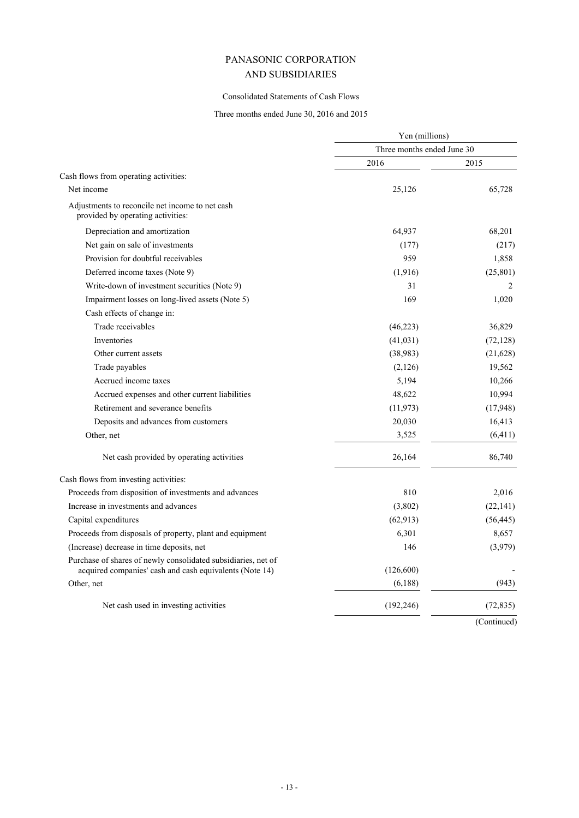### Consolidated Statements of Cash Flows

### Three months ended June 30, 2016 and 2015

|                                                                                                                          | Yen (millions)             |             |
|--------------------------------------------------------------------------------------------------------------------------|----------------------------|-------------|
|                                                                                                                          | Three months ended June 30 |             |
|                                                                                                                          | 2016                       | 2015        |
| Cash flows from operating activities:                                                                                    |                            |             |
| Net income                                                                                                               | 25,126                     | 65,728      |
| Adjustments to reconcile net income to net cash<br>provided by operating activities:                                     |                            |             |
| Depreciation and amortization                                                                                            | 64,937                     | 68,201      |
| Net gain on sale of investments                                                                                          | (177)                      | (217)       |
| Provision for doubtful receivables                                                                                       | 959                        | 1,858       |
| Deferred income taxes (Note 9)                                                                                           | (1,916)                    | (25, 801)   |
| Write-down of investment securities (Note 9)                                                                             | 31                         | 2           |
| Impairment losses on long-lived assets (Note 5)                                                                          | 169                        | 1,020       |
| Cash effects of change in:                                                                                               |                            |             |
| Trade receivables                                                                                                        | (46, 223)                  | 36,829      |
| Inventories                                                                                                              | (41, 031)                  | (72, 128)   |
| Other current assets                                                                                                     | (38,983)                   | (21,628)    |
| Trade payables                                                                                                           | (2,126)                    | 19,562      |
| Accrued income taxes                                                                                                     | 5,194                      | 10,266      |
| Accrued expenses and other current liabilities                                                                           | 48,622                     | 10,994      |
| Retirement and severance benefits                                                                                        | (11, 973)                  | (17, 948)   |
| Deposits and advances from customers                                                                                     | 20,030                     | 16,413      |
| Other, net                                                                                                               | 3,525                      | (6, 411)    |
| Net cash provided by operating activities                                                                                | 26,164                     | 86,740      |
| Cash flows from investing activities:                                                                                    |                            |             |
| Proceeds from disposition of investments and advances                                                                    | 810                        | 2,016       |
| Increase in investments and advances                                                                                     | (3,802)                    | (22, 141)   |
| Capital expenditures                                                                                                     | (62, 913)                  | (56, 445)   |
| Proceeds from disposals of property, plant and equipment                                                                 | 6,301                      | 8,657       |
| (Increase) decrease in time deposits, net                                                                                | 146                        | (3,979)     |
| Purchase of shares of newly consolidated subsidiaries, net of<br>acquired companies' cash and cash equivalents (Note 14) | (126, 600)                 |             |
| Other, net                                                                                                               | (6,188)                    | (943)       |
| Net cash used in investing activities                                                                                    | (192, 246)                 | (72, 835)   |
|                                                                                                                          |                            | (Continued) |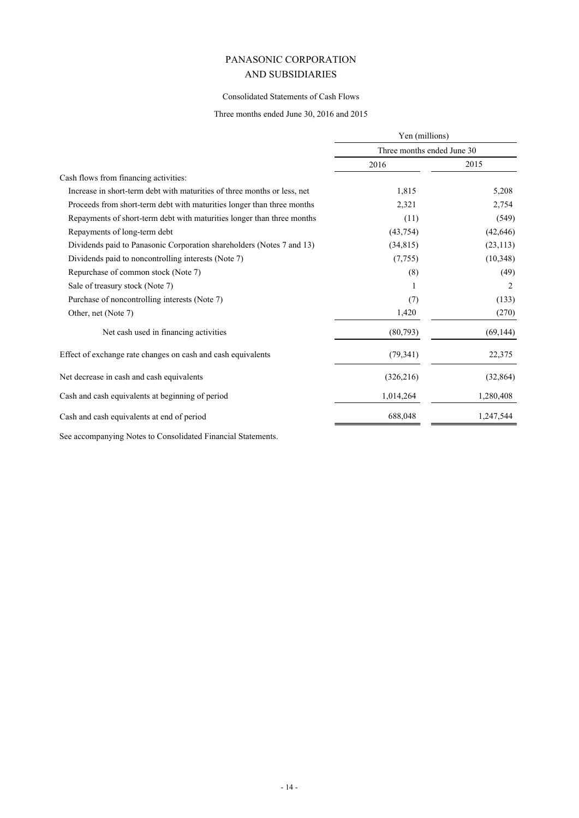### Consolidated Statements of Cash Flows

Three months ended June 30, 2016 and 2015

|                                                                          | Yen (millions)<br>Three months ended June 30 |           |
|--------------------------------------------------------------------------|----------------------------------------------|-----------|
|                                                                          |                                              |           |
|                                                                          | 2016                                         | 2015      |
| Cash flows from financing activities:                                    |                                              |           |
| Increase in short-term debt with maturities of three months or less, net | 1,815                                        | 5,208     |
| Proceeds from short-term debt with maturities longer than three months   | 2,321                                        | 2,754     |
| Repayments of short-term debt with maturities longer than three months   | (11)                                         | (549)     |
| Repayments of long-term debt                                             | (43, 754)                                    | (42, 646) |
| Dividends paid to Panasonic Corporation shareholders (Notes 7 and 13)    | (34, 815)                                    | (23, 113) |
| Dividends paid to noncontrolling interests (Note 7)                      | (7, 755)                                     | (10, 348) |
| Repurchase of common stock (Note 7)                                      | (8)                                          | (49)      |
| Sale of treasury stock (Note 7)                                          |                                              | 2         |
| Purchase of noncontrolling interests (Note 7)                            | (7)                                          | (133)     |
| Other, net (Note 7)                                                      | 1,420                                        | (270)     |
| Net cash used in financing activities                                    | (80,793)                                     | (69, 144) |
| Effect of exchange rate changes on cash and cash equivalents             | (79, 341)                                    | 22,375    |
| Net decrease in cash and cash equivalents                                | (326, 216)                                   | (32, 864) |
| Cash and cash equivalents at beginning of period                         | 1,014,264                                    | 1,280,408 |
| Cash and cash equivalents at end of period                               | 688,048                                      | 1,247,544 |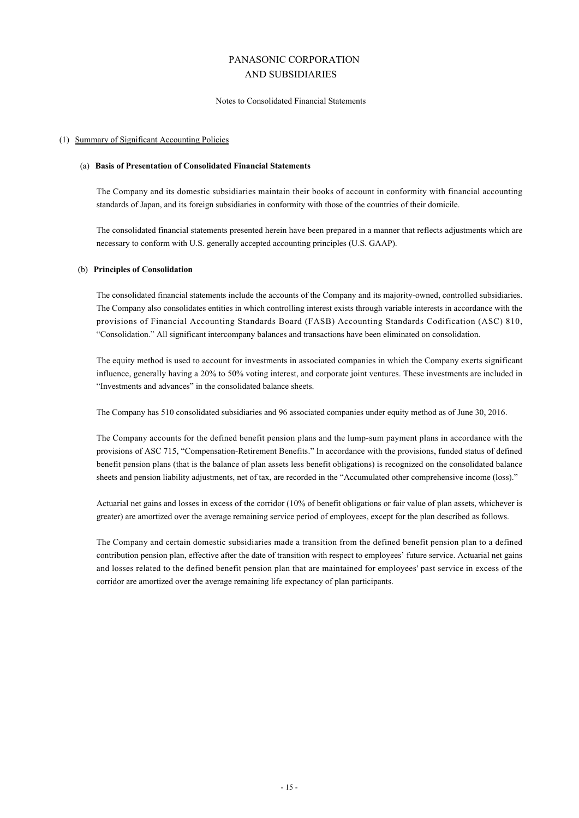### Notes to Consolidated Financial Statements

#### (1) Summary of Significant Accounting Policies

#### (a) **Basis of Presentation of Consolidated Financial Statements**

The Company and its domestic subsidiaries maintain their books of account in conformity with financial accounting standards of Japan, and its foreign subsidiaries in conformity with those of the countries of their domicile.

The consolidated financial statements presented herein have been prepared in a manner that reflects adjustments which are necessary to conform with U.S. generally accepted accounting principles (U.S. GAAP).

### (b) **Principles of Consolidation**

The consolidated financial statements include the accounts of the Company and its majority-owned, controlled subsidiaries. The Company also consolidates entities in which controlling interest exists through variable interests in accordance with the provisions of Financial Accounting Standards Board (FASB) Accounting Standards Codification (ASC) 810, "Consolidation." All significant intercompany balances and transactions have been eliminated on consolidation.

The equity method is used to account for investments in associated companies in which the Company exerts significant influence, generally having a 20% to 50% voting interest, and corporate joint ventures. These investments are included in "Investments and advances" in the consolidated balance sheets.

The Company has 510 consolidated subsidiaries and 96 associated companies under equity method as of June 30, 2016.

The Company accounts for the defined benefit pension plans and the lump-sum payment plans in accordance with the provisions of ASC 715, "Compensation-Retirement Benefits." In accordance with the provisions, funded status of defined benefit pension plans (that is the balance of plan assets less benefit obligations) is recognized on the consolidated balance sheets and pension liability adjustments, net of tax, are recorded in the "Accumulated other comprehensive income (loss)."

Actuarial net gains and losses in excess of the corridor (10% of benefit obligations or fair value of plan assets, whichever is greater) are amortized over the average remaining service period of employees, except for the plan described as follows.

The Company and certain domestic subsidiaries made a transition from the defined benefit pension plan to a defined contribution pension plan, effective after the date of transition with respect to employees' future service. Actuarial net gains and losses related to the defined benefit pension plan that are maintained for employees' past service in excess of the corridor are amortized over the average remaining life expectancy of plan participants.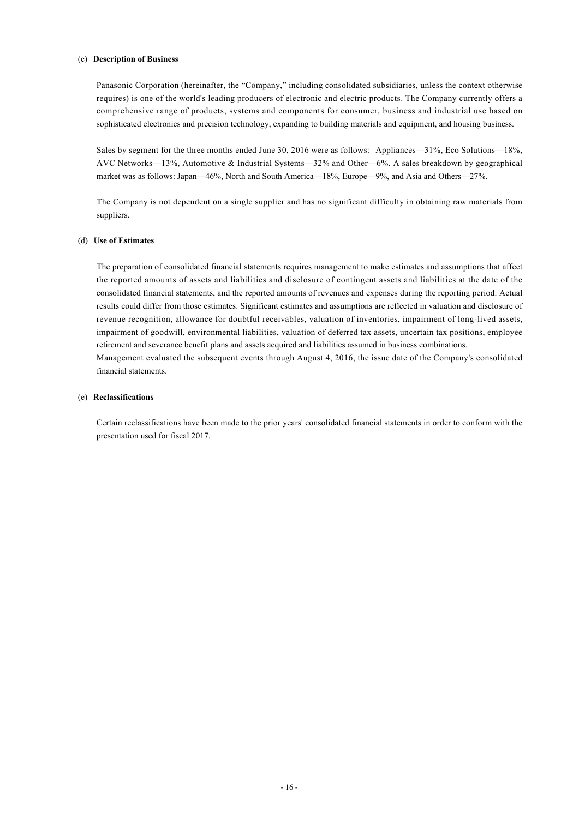#### (c) **Description of Business**

Panasonic Corporation (hereinafter, the "Company," including consolidated subsidiaries, unless the context otherwise requires) is one of the world's leading producers of electronic and electric products. The Company currently offers a comprehensive range of products, systems and components for consumer, business and industrial use based on sophisticated electronics and precision technology, expanding to building materials and equipment, and housing business.

Sales by segment for the three months ended June 30, 2016 were as follows: Appliances—31%, Eco Solutions—18%, AVC Networks—13%, Automotive & Industrial Systems—32% and Other—6%. A sales breakdown by geographical market was as follows: Japan—46%, North and South America—18%, Europe—9%, and Asia and Others—27%.

The Company is not dependent on a single supplier and has no significant difficulty in obtaining raw materials from suppliers.

### (d) **Use of Estimates**

The preparation of consolidated financial statements requires management to make estimates and assumptions that affect the reported amounts of assets and liabilities and disclosure of contingent assets and liabilities at the date of the consolidated financial statements, and the reported amounts of revenues and expenses during the reporting period. Actual results could differ from those estimates. Significant estimates and assumptions are reflected in valuation and disclosure of revenue recognition, allowance for doubtful receivables, valuation of inventories, impairment of long-lived assets, impairment of goodwill, environmental liabilities, valuation of deferred tax assets, uncertain tax positions, employee retirement and severance benefit plans and assets acquired and liabilities assumed in business combinations. Management evaluated the subsequent events through August 4, 2016, the issue date of the Company's consolidated financial statements.

### (e) **Reclassifications**

Certain reclassifications have been made to the prior years' consolidated financial statements in order to conform with the presentation used for fiscal 2017.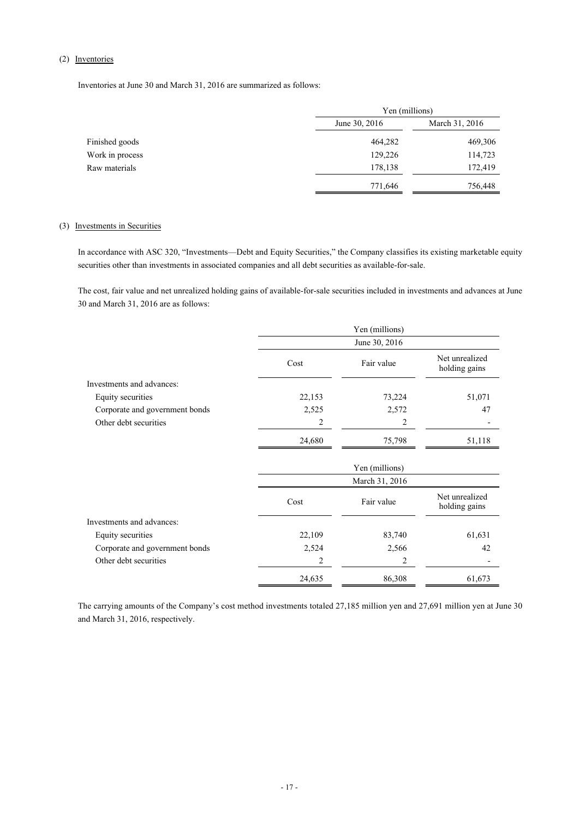### (2) Inventories

Inventories at June 30 and March 31, 2016 are summarized as follows:

|                 | Yen (millions) |                |
|-----------------|----------------|----------------|
|                 | June 30, 2016  | March 31, 2016 |
| Finished goods  | 464,282        | 469,306        |
| Work in process | 129,226        | 114,723        |
| Raw materials   | 178,138        | 172,419        |
|                 | 771,646        | 756,448        |

### (3) Investments in Securities

In accordance with ASC 320, "Investments—Debt and Equity Securities," the Company classifies its existing marketable equity securities other than investments in associated companies and all debt securities as available-for-sale.

The cost, fair value and net unrealized holding gains of available-for-sale securities included in investments and advances at June 30 and March 31, 2016 are as follows:

|                                | Yen (millions) |                |                                 |
|--------------------------------|----------------|----------------|---------------------------------|
|                                |                | June 30, 2016  |                                 |
|                                | Cost           | Fair value     | Net unrealized<br>holding gains |
| Investments and advances:      |                |                |                                 |
| Equity securities              | 22,153         | 73,224         | 51,071                          |
| Corporate and government bonds | 2,525          | 2,572          | 47                              |
| Other debt securities          | 2              | 2              |                                 |
|                                | 24,680         | 75,798         | 51,118                          |
|                                |                | Yen (millions) |                                 |
|                                |                | March 31, 2016 |                                 |
|                                | Cost           | Fair value     | Net unrealized<br>holding gains |
| Investments and advances:      |                |                |                                 |
| Equity securities              | 22,109         | 83,740         | 61,631                          |
| Corporate and government bonds | 2,524          | 2,566          | 42                              |
| Other debt securities          | 2              | 2              |                                 |
|                                | 24,635         | 86,308         | 61,673                          |

The carrying amounts of the Company's cost method investments totaled 27,185 million yen and 27,691 million yen at June 30 and March 31, 2016, respectively.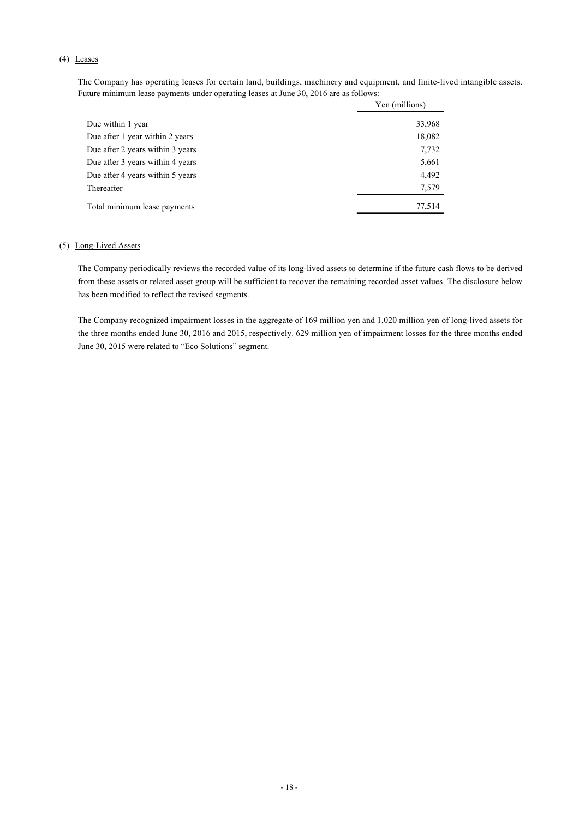### (4) Leases

The Company has operating leases for certain land, buildings, machinery and equipment, and finite-lived intangible assets. Future minimum lease payments under operating leases at June 30, 2016 are as follows:

|                                  | Yen (millions) |
|----------------------------------|----------------|
| Due within 1 year                | 33,968         |
| Due after 1 year within 2 years  | 18,082         |
| Due after 2 years within 3 years | 7,732          |
| Due after 3 years within 4 years | 5,661          |
| Due after 4 years within 5 years | 4,492          |
| Thereafter                       | 7,579          |
| Total minimum lease payments     | 77,514         |

#### (5) Long-Lived Assets

The Company periodically reviews the recorded value of its long-lived assets to determine if the future cash flows to be derived from these assets or related asset group will be sufficient to recover the remaining recorded asset values. The disclosure below has been modified to reflect the revised segments.

The Company recognized impairment losses in the aggregate of 169 million yen and 1,020 million yen of long-lived assets for the three months ended June 30, 2016 and 2015, respectively. 629 million yen of impairment losses for the three months ended June 30, 2015 were related to "Eco Solutions" segment.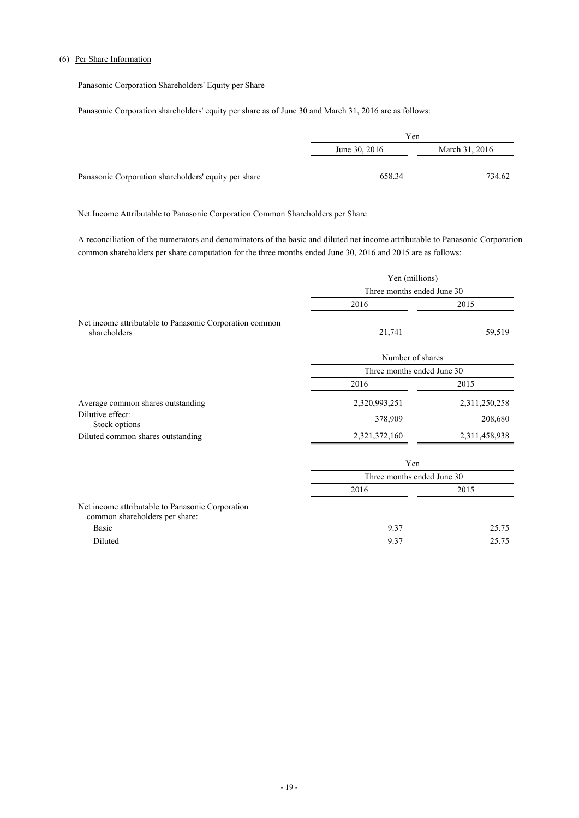### (6) Per Share Information

### Panasonic Corporation Shareholders' Equity per Share

Panasonic Corporation shareholders' equity per share as of June 30 and March 31, 2016 are as follows:

|                                                      | Yen           |                |
|------------------------------------------------------|---------------|----------------|
|                                                      | June 30, 2016 | March 31, 2016 |
|                                                      |               |                |
| Panasonic Corporation shareholders' equity per share | 658.34        | 734.62         |

### Net Income Attributable to Panasonic Corporation Common Shareholders per Share

A reconciliation of the numerators and denominators of the basic and diluted net income attributable to Panasonic Corporation common shareholders per share computation for the three months ended June 30, 2016 and 2015 are as follows:

|                                                                         |                            | Yen (millions) |  |
|-------------------------------------------------------------------------|----------------------------|----------------|--|
|                                                                         | Three months ended June 30 |                |  |
|                                                                         | 2016                       | 2015           |  |
| Net income attributable to Panasonic Corporation common<br>shareholders | 21,741                     | 59,519         |  |
|                                                                         | Number of shares           |                |  |
|                                                                         | Three months ended June 30 |                |  |
|                                                                         | 2016                       | 2015           |  |
| Average common shares outstanding                                       | 2,320,993,251              | 2,311,250,258  |  |
| Dilutive effect:<br>Stock options                                       | 378,909                    | 208,680        |  |
| Diluted common shares outstanding                                       | 2,321,372,160              | 2,311,458,938  |  |
|                                                                         | Yen                        |                |  |
|                                                                         | Three months ended June 30 |                |  |
|                                                                         | 2016                       | 2015           |  |

| Net income attributable to Panasonic Corporation |     |       |
|--------------------------------------------------|-----|-------|
| common shareholders per share:                   |     |       |
| <b>Basic</b>                                     | 937 | 25.75 |
| Diluted                                          | 937 | 25.75 |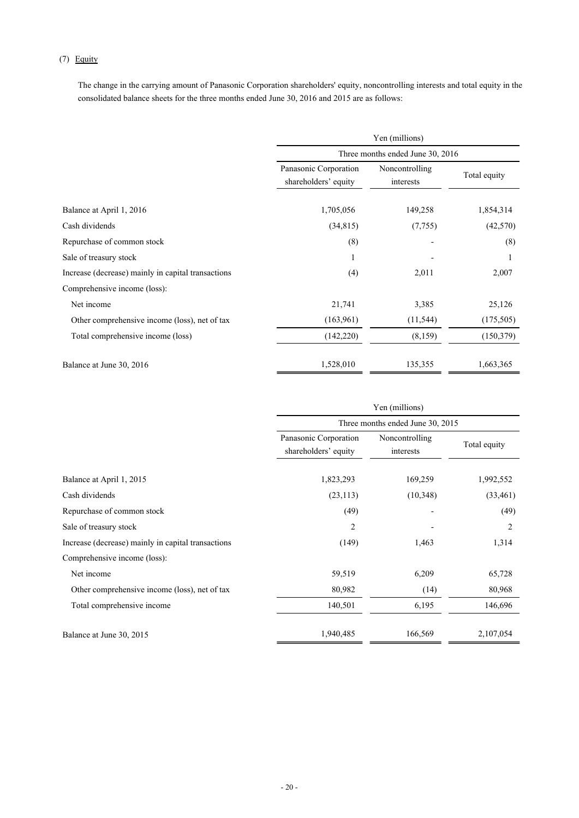### (7) Equity

The change in the carrying amount of Panasonic Corporation shareholders' equity, noncontrolling interests and total equity in the consolidated balance sheets for the three months ended June 30, 2016 and 2015 are as follows:

|                                                    | Yen (millions)                                |                                  |              |  |  |
|----------------------------------------------------|-----------------------------------------------|----------------------------------|--------------|--|--|
|                                                    |                                               | Three months ended June 30, 2016 |              |  |  |
|                                                    | Panasonic Corporation<br>shareholders' equity | Noncontrolling<br>interests      | Total equity |  |  |
| Balance at April 1, 2016                           | 1,705,056                                     | 149,258                          | 1,854,314    |  |  |
| Cash dividends                                     | (34, 815)                                     | (7, 755)                         | (42,570)     |  |  |
| Repurchase of common stock                         | (8)                                           |                                  | (8)          |  |  |
| Sale of treasury stock                             |                                               |                                  |              |  |  |
| Increase (decrease) mainly in capital transactions | (4)                                           | 2,011                            | 2,007        |  |  |
| Comprehensive income (loss):                       |                                               |                                  |              |  |  |
| Net income                                         | 21,741                                        | 3,385                            | 25,126       |  |  |
| Other comprehensive income (loss), net of tax      | (163,961)                                     | (11, 544)                        | (175,505)    |  |  |
| Total comprehensive income (loss)                  | (142, 220)                                    | (8,159)                          | (150, 379)   |  |  |
| Balance at June 30, 2016                           | 1,528,010                                     | 135,355                          | 1,663,365    |  |  |

|                                                    | Yen (millions)                                |                                  |                |  |  |
|----------------------------------------------------|-----------------------------------------------|----------------------------------|----------------|--|--|
|                                                    |                                               | Three months ended June 30, 2015 |                |  |  |
|                                                    | Panasonic Corporation<br>shareholders' equity | Noncontrolling<br>interests      | Total equity   |  |  |
| Balance at April 1, 2015                           | 1,823,293                                     | 169,259                          | 1,992,552      |  |  |
| Cash dividends                                     | (23, 113)                                     | (10,348)                         | (33, 461)      |  |  |
| Repurchase of common stock                         | (49)                                          |                                  | (49)           |  |  |
| Sale of treasury stock                             | 2                                             |                                  | $\overline{2}$ |  |  |
| Increase (decrease) mainly in capital transactions | (149)                                         | 1,463                            | 1,314          |  |  |
| Comprehensive income (loss):                       |                                               |                                  |                |  |  |
| Net income                                         | 59,519                                        | 6,209                            | 65,728         |  |  |
| Other comprehensive income (loss), net of tax      | 80,982                                        | (14)                             | 80,968         |  |  |
| Total comprehensive income                         | 140,501                                       | 6,195                            | 146,696        |  |  |
| Balance at June 30, 2015                           | 1,940,485                                     | 166,569                          | 2,107,054      |  |  |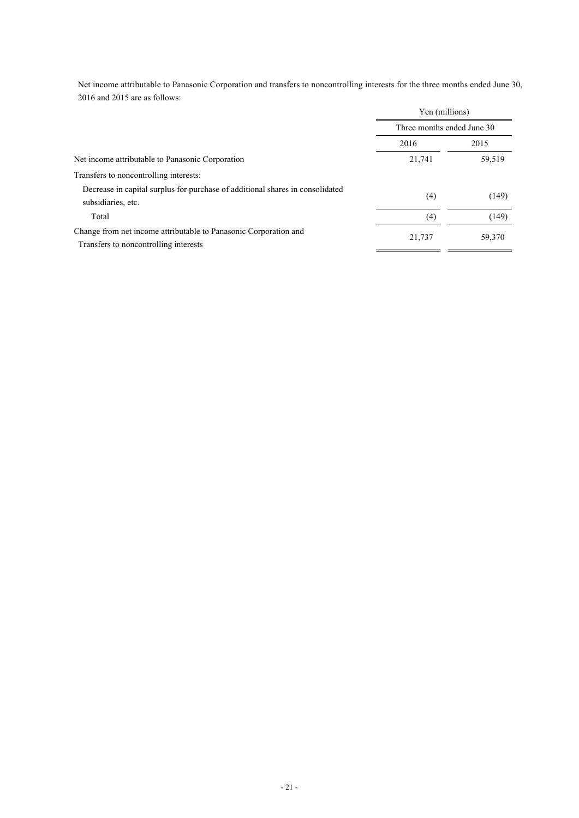Net income attributable to Panasonic Corporation and transfers to noncontrolling interests for the three months ended June 30, 2016 and 2015 are as follows:

|                                                                                                           | Yen (millions)<br>Three months ended June 30 |        |
|-----------------------------------------------------------------------------------------------------------|----------------------------------------------|--------|
|                                                                                                           |                                              |        |
|                                                                                                           | 2016                                         | 2015   |
| Net income attributable to Panasonic Corporation                                                          | 21,741                                       | 59,519 |
| Transfers to noncontrolling interests:                                                                    |                                              |        |
| Decrease in capital surplus for purchase of additional shares in consolidated<br>subsidiaries, etc.       | (4)                                          | (149)  |
| Total                                                                                                     | (4)                                          | (149)  |
| Change from net income attributable to Panasonic Corporation and<br>Transfers to noncontrolling interests | 21,737                                       | 59,370 |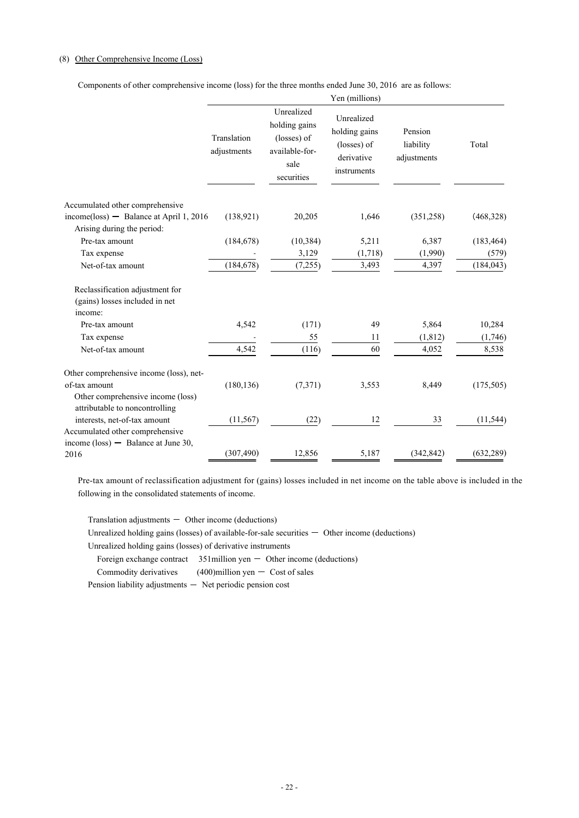### (8) Other Comprehensive Income (Loss)

Components of other comprehensive income (loss) for the three months ended June 30, 2016 are as follows:

| Unrealized<br>Unrealized<br>holding gains<br>holding gains<br>Pension<br>Translation<br>(losses) of<br>(losses) of<br>liability<br>Total<br>available-for-<br>adjustments<br>derivative<br>adjustments<br>sale<br>instruments<br>securities<br>Accumulated other comprehensive<br>$income(\text{loss})$ - Balance at April 1, 2016<br>(468, 328)<br>(138.921)<br>1,646<br>(351, 258)<br>20,205<br>Arising during the period:<br>Pre-tax amount<br>(184, 678)<br>(10, 384)<br>5,211<br>6,387<br>(183, 464)<br>3,129<br>(1,718)<br>(1,990)<br>Tax expense<br>(579)<br>(7,255)<br>3,493<br>Net-of-tax amount<br>(184, 678)<br>4,397<br>(184, 043)<br>Reclassification adjustment for<br>(gains) losses included in net<br>income:<br>5,864<br>10,284<br>4,542<br>(171)<br>49<br>Pre-tax amount<br>55<br>(1, 812)<br>(1,746)<br>Tax expense<br>11<br>4,542<br>60<br>Net-of-tax amount<br>(116)<br>4,052<br>8,538<br>Other comprehensive income (loss), net-<br>of-tax amount<br>(180, 136)<br>(7,371)<br>3,553<br>8,449<br>(175, 505)<br>Other comprehensive income (loss)<br>attributable to noncontrolling<br>interests, net-of-tax amount<br>(11, 567)<br>(22)<br>12<br>33<br>(11, 544)<br>Accumulated other comprehensive<br>income $(\text{loss})$ - Balance at June 30,<br>(307, 490)<br>12,856<br>5,187<br>(342, 842)<br>(632, 289)<br>2016 |  | Yen (millions) |  |
|------------------------------------------------------------------------------------------------------------------------------------------------------------------------------------------------------------------------------------------------------------------------------------------------------------------------------------------------------------------------------------------------------------------------------------------------------------------------------------------------------------------------------------------------------------------------------------------------------------------------------------------------------------------------------------------------------------------------------------------------------------------------------------------------------------------------------------------------------------------------------------------------------------------------------------------------------------------------------------------------------------------------------------------------------------------------------------------------------------------------------------------------------------------------------------------------------------------------------------------------------------------------------------------------------------------------------------------------|--|----------------|--|
|                                                                                                                                                                                                                                                                                                                                                                                                                                                                                                                                                                                                                                                                                                                                                                                                                                                                                                                                                                                                                                                                                                                                                                                                                                                                                                                                                |  |                |  |
|                                                                                                                                                                                                                                                                                                                                                                                                                                                                                                                                                                                                                                                                                                                                                                                                                                                                                                                                                                                                                                                                                                                                                                                                                                                                                                                                                |  |                |  |
|                                                                                                                                                                                                                                                                                                                                                                                                                                                                                                                                                                                                                                                                                                                                                                                                                                                                                                                                                                                                                                                                                                                                                                                                                                                                                                                                                |  |                |  |
|                                                                                                                                                                                                                                                                                                                                                                                                                                                                                                                                                                                                                                                                                                                                                                                                                                                                                                                                                                                                                                                                                                                                                                                                                                                                                                                                                |  |                |  |
|                                                                                                                                                                                                                                                                                                                                                                                                                                                                                                                                                                                                                                                                                                                                                                                                                                                                                                                                                                                                                                                                                                                                                                                                                                                                                                                                                |  |                |  |
|                                                                                                                                                                                                                                                                                                                                                                                                                                                                                                                                                                                                                                                                                                                                                                                                                                                                                                                                                                                                                                                                                                                                                                                                                                                                                                                                                |  |                |  |
|                                                                                                                                                                                                                                                                                                                                                                                                                                                                                                                                                                                                                                                                                                                                                                                                                                                                                                                                                                                                                                                                                                                                                                                                                                                                                                                                                |  |                |  |
|                                                                                                                                                                                                                                                                                                                                                                                                                                                                                                                                                                                                                                                                                                                                                                                                                                                                                                                                                                                                                                                                                                                                                                                                                                                                                                                                                |  |                |  |
|                                                                                                                                                                                                                                                                                                                                                                                                                                                                                                                                                                                                                                                                                                                                                                                                                                                                                                                                                                                                                                                                                                                                                                                                                                                                                                                                                |  |                |  |
|                                                                                                                                                                                                                                                                                                                                                                                                                                                                                                                                                                                                                                                                                                                                                                                                                                                                                                                                                                                                                                                                                                                                                                                                                                                                                                                                                |  |                |  |
|                                                                                                                                                                                                                                                                                                                                                                                                                                                                                                                                                                                                                                                                                                                                                                                                                                                                                                                                                                                                                                                                                                                                                                                                                                                                                                                                                |  |                |  |
|                                                                                                                                                                                                                                                                                                                                                                                                                                                                                                                                                                                                                                                                                                                                                                                                                                                                                                                                                                                                                                                                                                                                                                                                                                                                                                                                                |  |                |  |
|                                                                                                                                                                                                                                                                                                                                                                                                                                                                                                                                                                                                                                                                                                                                                                                                                                                                                                                                                                                                                                                                                                                                                                                                                                                                                                                                                |  |                |  |
|                                                                                                                                                                                                                                                                                                                                                                                                                                                                                                                                                                                                                                                                                                                                                                                                                                                                                                                                                                                                                                                                                                                                                                                                                                                                                                                                                |  |                |  |
|                                                                                                                                                                                                                                                                                                                                                                                                                                                                                                                                                                                                                                                                                                                                                                                                                                                                                                                                                                                                                                                                                                                                                                                                                                                                                                                                                |  |                |  |
|                                                                                                                                                                                                                                                                                                                                                                                                                                                                                                                                                                                                                                                                                                                                                                                                                                                                                                                                                                                                                                                                                                                                                                                                                                                                                                                                                |  |                |  |
|                                                                                                                                                                                                                                                                                                                                                                                                                                                                                                                                                                                                                                                                                                                                                                                                                                                                                                                                                                                                                                                                                                                                                                                                                                                                                                                                                |  |                |  |
|                                                                                                                                                                                                                                                                                                                                                                                                                                                                                                                                                                                                                                                                                                                                                                                                                                                                                                                                                                                                                                                                                                                                                                                                                                                                                                                                                |  |                |  |
|                                                                                                                                                                                                                                                                                                                                                                                                                                                                                                                                                                                                                                                                                                                                                                                                                                                                                                                                                                                                                                                                                                                                                                                                                                                                                                                                                |  |                |  |
|                                                                                                                                                                                                                                                                                                                                                                                                                                                                                                                                                                                                                                                                                                                                                                                                                                                                                                                                                                                                                                                                                                                                                                                                                                                                                                                                                |  |                |  |

Pre-tax amount of reclassification adjustment for (gains) losses included in net income on the table above is included in the following in the consolidated statements of income.

Translation adjustments  $-$  Other income (deductions)

Unrealized holding gains (losses) of available-for-sale securities  $-$  Other income (deductions)

Unrealized holding gains (losses) of derivative instruments

Foreign exchange contract  $351$  million yen  $-$  Other income (deductions)

Commodity derivatives  $(400)$ million yen  $-$  Cost of sales

Pension liability adjustments  $-$  Net periodic pension cost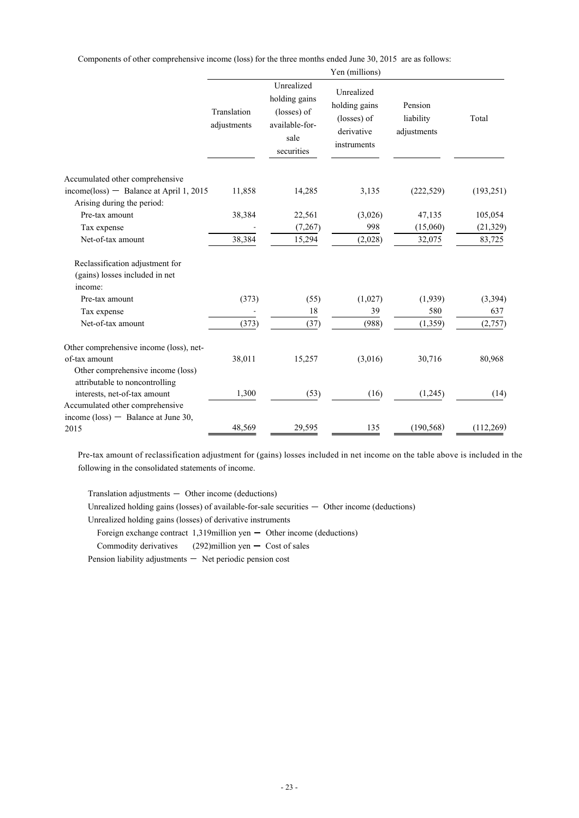Components of other comprehensive income (loss) for the three months ended June 30, 2015 are as follows:

|                                                                              |                            |                                                                                    | Yen (millions)                                                          |                                     |            |
|------------------------------------------------------------------------------|----------------------------|------------------------------------------------------------------------------------|-------------------------------------------------------------------------|-------------------------------------|------------|
|                                                                              | Translation<br>adjustments | Unrealized<br>holding gains<br>(losses) of<br>available-for-<br>sale<br>securities | Unrealized<br>holding gains<br>(losses) of<br>derivative<br>instruments | Pension<br>liability<br>adjustments | Total      |
| Accumulated other comprehensive                                              |                            |                                                                                    |                                                                         |                                     |            |
| $income_loss)$ - Balance at April 1, 2015                                    | 11,858                     | 14,285                                                                             | 3,135                                                                   | (222, 529)                          | (193, 251) |
| Arising during the period:<br>Pre-tax amount                                 | 38,384                     | 22,561                                                                             | (3,026)                                                                 | 47,135                              | 105,054    |
| Tax expense                                                                  |                            | (7, 267)                                                                           | 998                                                                     | (15,060)                            | (21, 329)  |
| Net-of-tax amount                                                            | 38,384                     | 15,294                                                                             | (2,028)                                                                 | 32,075                              | 83,725     |
| Reclassification adjustment for<br>(gains) losses included in net<br>income: |                            |                                                                                    |                                                                         |                                     |            |
| Pre-tax amount                                                               | (373)                      | (55)                                                                               | (1,027)                                                                 | (1,939)                             | (3, 394)   |
| Tax expense                                                                  |                            | 18                                                                                 | 39                                                                      | 580                                 | 637        |
| Net-of-tax amount                                                            | (373)                      | (37)                                                                               | (988)                                                                   | (1, 359)                            | (2,757)    |
| Other comprehensive income (loss), net-                                      |                            |                                                                                    |                                                                         |                                     |            |
| of-tax amount                                                                | 38,011                     | 15,257                                                                             | (3,016)                                                                 | 30,716                              | 80,968     |
| Other comprehensive income (loss)<br>attributable to noncontrolling          |                            |                                                                                    |                                                                         |                                     |            |
| interests, net-of-tax amount                                                 | 1,300                      | (53)                                                                               | (16)                                                                    | (1,245)                             | (14)       |
| Accumulated other comprehensive                                              |                            |                                                                                    |                                                                         |                                     |            |
| income $(\text{loss})$ - Balance at June 30,<br>2015                         | 48,569                     | 29,595                                                                             | 135                                                                     | (190, 568)                          | (112,269)  |

Pre-tax amount of reclassification adjustment for (gains) losses included in net income on the table above is included in the following in the consolidated statements of income.

Translation adjustments  $-$  Other income (deductions)

Unrealized holding gains (losses) of available-for-sale securities  $-$  Other income (deductions)

Unrealized holding gains (losses) of derivative instruments

Foreign exchange contract  $1,319$ million yen  $-$  Other income (deductions)

Commodity derivatives  $(292)$ million yen  $-$  Cost of sales

Pension liability adjustments - Net periodic pension cost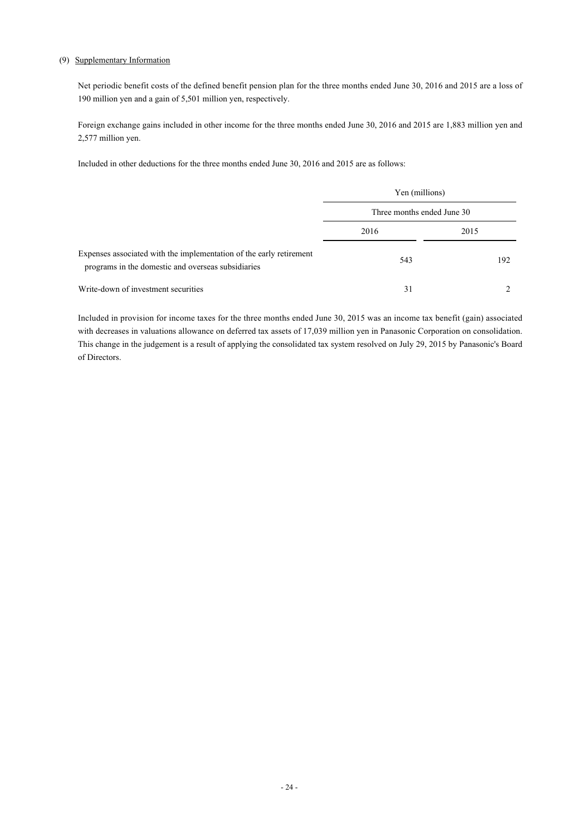### (9) Supplementary Information

Net periodic benefit costs of the defined benefit pension plan for the three months ended June 30, 2016 and 2015 are a loss of 190 million yen and a gain of 5,501 million yen, respectively.

Foreign exchange gains included in other income for the three months ended June 30, 2016 and 2015 are 1,883 million yen and 2,577 million yen.

Included in other deductions for the three months ended June 30, 2016 and 2015 are as follows:

|                                                                                                                           | Yen (millions)             |      |  |
|---------------------------------------------------------------------------------------------------------------------------|----------------------------|------|--|
|                                                                                                                           | Three months ended June 30 |      |  |
|                                                                                                                           | 2016                       | 2015 |  |
| Expenses associated with the implementation of the early retirement<br>programs in the domestic and overseas subsidiaries | 543                        | 192  |  |
| Write-down of investment securities                                                                                       | 31                         |      |  |

Included in provision for income taxes for the three months ended June 30, 2015 was an income tax benefit (gain) associated with decreases in valuations allowance on deferred tax assets of 17,039 million yen in Panasonic Corporation on consolidation. This change in the judgement is a result of applying the consolidated tax system resolved on July 29, 2015 by Panasonic's Board of Directors.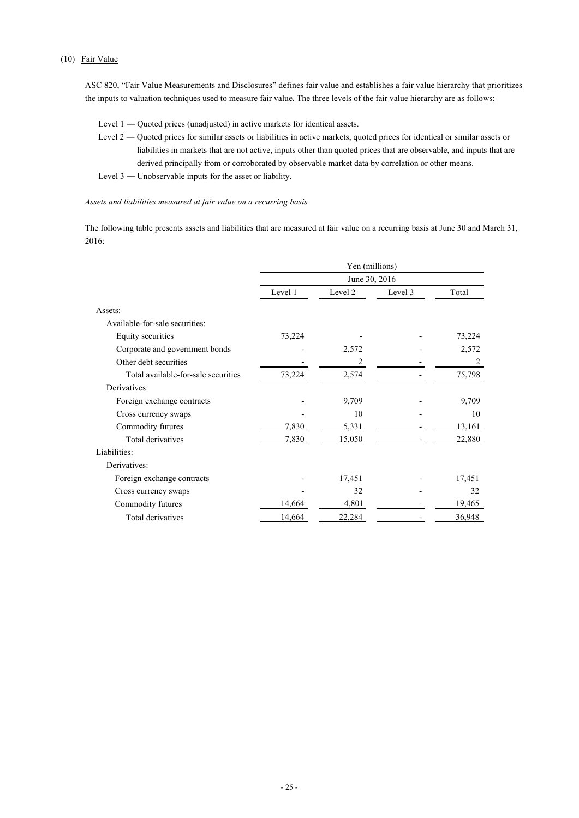### (10) Fair Value

ASC 820, "Fair Value Measurements and Disclosures" defines fair value and establishes a fair value hierarchy that prioritizes the inputs to valuation techniques used to measure fair value. The three levels of the fair value hierarchy are as follows:

- Level 1 Quoted prices (unadjusted) in active markets for identical assets.
- Level 2 Quoted prices for similar assets or liabilities in active markets, quoted prices for identical or similar assets or liabilities in markets that are not active, inputs other than quoted prices that are observable, and inputs that are derived principally from or corroborated by observable market data by correlation or other means.
- Level 3 ― Unobservable inputs for the asset or liability.

#### *Assets and liabilities measured at fair value on a recurring basis*

The following table presents assets and liabilities that are measured at fair value on a recurring basis at June 30 and March 31, 2016:

|                                     | Yen (millions)<br>June 30, 2016 |         |         |        |
|-------------------------------------|---------------------------------|---------|---------|--------|
|                                     |                                 |         |         |        |
|                                     | Level 1                         | Level 2 | Level 3 | Total  |
| Assets:                             |                                 |         |         |        |
| Available-for-sale securities:      |                                 |         |         |        |
| Equity securities                   | 73,224                          |         |         | 73,224 |
| Corporate and government bonds      |                                 | 2,572   |         | 2,572  |
| Other debt securities               |                                 | 2       |         | 2      |
| Total available-for-sale securities | 73,224                          | 2,574   |         | 75,798 |
| Derivatives:                        |                                 |         |         |        |
| Foreign exchange contracts          |                                 | 9,709   |         | 9,709  |
| Cross currency swaps                |                                 | 10      |         | 10     |
| Commodity futures                   | 7,830                           | 5,331   |         | 13,161 |
| Total derivatives                   | 7,830                           | 15,050  |         | 22,880 |
| Liabilities:                        |                                 |         |         |        |
| Derivatives:                        |                                 |         |         |        |
| Foreign exchange contracts          |                                 | 17,451  |         | 17,451 |
| Cross currency swaps                |                                 | 32      |         | 32     |
| Commodity futures                   | 14,664                          | 4,801   |         | 19,465 |
| Total derivatives                   | 14,664                          | 22,284  |         | 36,948 |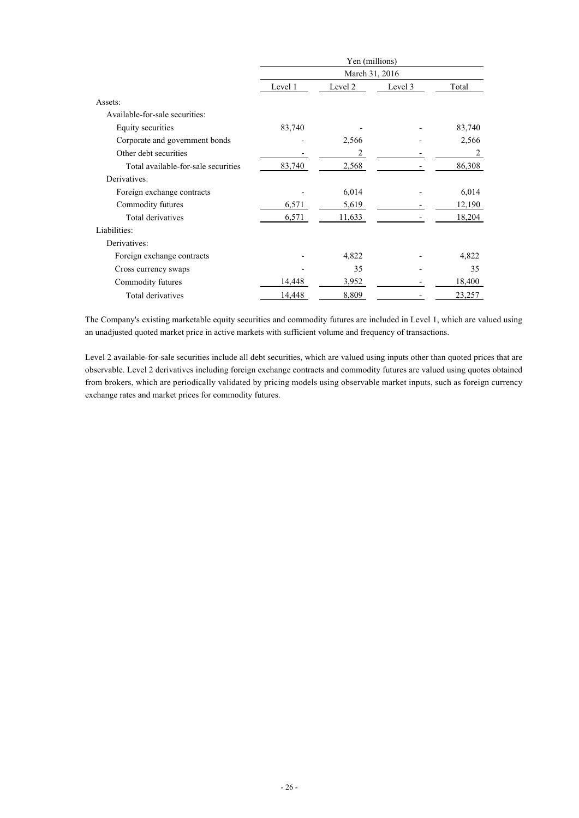|                                     | Yen (millions) |         |         |        |
|-------------------------------------|----------------|---------|---------|--------|
|                                     | March 31, 2016 |         |         |        |
|                                     | Level 1        | Level 2 | Level 3 | Total  |
| Assets:                             |                |         |         |        |
| Available-for-sale securities:      |                |         |         |        |
| Equity securities                   | 83,740         |         |         | 83,740 |
| Corporate and government bonds      |                | 2,566   |         | 2,566  |
| Other debt securities               |                | 2       |         | 2      |
| Total available-for-sale securities | 83,740         | 2,568   |         | 86,308 |
| Derivatives:                        |                |         |         |        |
| Foreign exchange contracts          |                | 6,014   |         | 6,014  |
| Commodity futures                   | 6,571          | 5,619   |         | 12,190 |
| Total derivatives                   | 6,571          | 11,633  |         | 18,204 |
| Liabilities:                        |                |         |         |        |
| Derivatives:                        |                |         |         |        |
| Foreign exchange contracts          |                | 4,822   |         | 4,822  |
| Cross currency swaps                |                | 35      |         | 35     |
| Commodity futures                   | 14,448         | 3,952   |         | 18,400 |
| Total derivatives                   | 14,448         | 8,809   |         | 23,257 |

The Company's existing marketable equity securities and commodity futures are included in Level 1, which are valued using an unadjusted quoted market price in active markets with sufficient volume and frequency of transactions.

Level 2 available-for-sale securities include all debt securities, which are valued using inputs other than quoted prices that are observable. Level 2 derivatives including foreign exchange contracts and commodity futures are valued using quotes obtained from brokers, which are periodically validated by pricing models using observable market inputs, such as foreign currency exchange rates and market prices for commodity futures.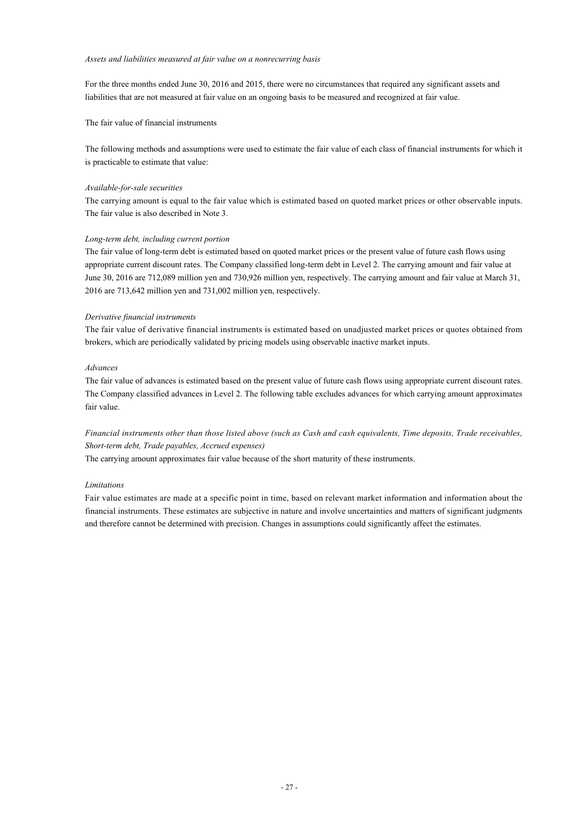#### *Assets and liabilities measured at fair value on a nonrecurring basis*

For the three months ended June 30, 2016 and 2015, there were no circumstances that required any significant assets and liabilities that are not measured at fair value on an ongoing basis to be measured and recognized at fair value.

The fair value of financial instruments

The following methods and assumptions were used to estimate the fair value of each class of financial instruments for which it is practicable to estimate that value:

#### *Available-for-sale securities*

The carrying amount is equal to the fair value which is estimated based on quoted market prices or other observable inputs. The fair value is also described in Note 3.

#### *Long-term debt, including current portion*

The fair value of long-term debt is estimated based on quoted market prices or the present value of future cash flows using appropriate current discount rates. The Company classified long-term debt in Level 2. The carrying amount and fair value at June 30, 2016 are 712,089 million yen and 730,926 million yen, respectively. The carrying amount and fair value at March 31, 2016 are 713,642 million yen and 731,002 million yen, respectively.

#### *Derivative financial instruments*

The fair value of derivative financial instruments is estimated based on unadjusted market prices or quotes obtained from brokers, which are periodically validated by pricing models using observable inactive market inputs.

#### *Advances*

The fair value of advances is estimated based on the present value of future cash flows using appropriate current discount rates. The Company classified advances in Level 2. The following table excludes advances for which carrying amount approximates fair value.

*Financial instruments other than those listed above (such as Cash and cash equivalents, Time deposits, Trade receivables, Short-term debt, Trade payables, Accrued expenses)*

The carrying amount approximates fair value because of the short maturity of these instruments.

### *Limitations*

Fair value estimates are made at a specific point in time, based on relevant market information and information about the financial instruments. These estimates are subjective in nature and involve uncertainties and matters of significant judgments and therefore cannot be determined with precision. Changes in assumptions could significantly affect the estimates.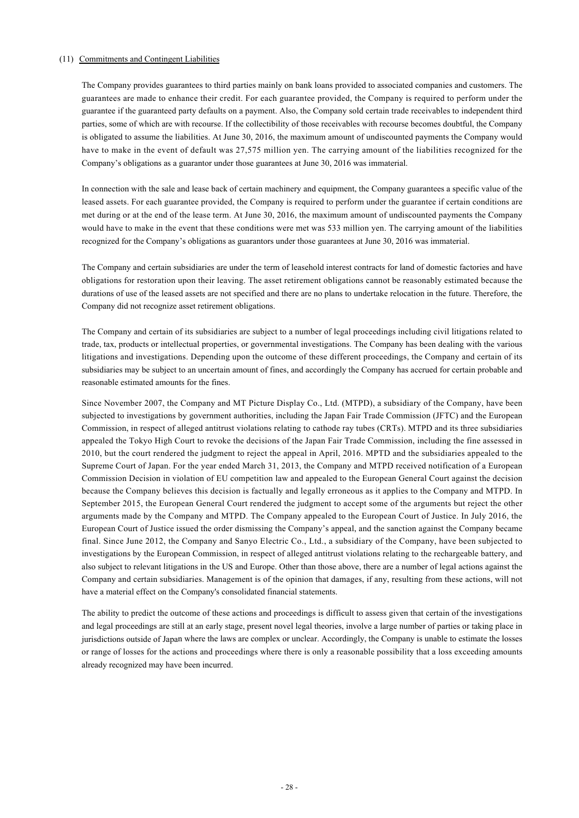### (11) Commitments and Contingent Liabilities

The Company provides guarantees to third parties mainly on bank loans provided to associated companies and customers. The guarantees are made to enhance their credit. For each guarantee provided, the Company is required to perform under the guarantee if the guaranteed party defaults on a payment. Also, the Company sold certain trade receivables to independent third parties, some of which are with recourse. If the collectibility of those receivables with recourse becomes doubtful, the Company is obligated to assume the liabilities. At June 30, 2016, the maximum amount of undiscounted payments the Company would have to make in the event of default was 27,575 million yen. The carrying amount of the liabilities recognized for the Company's obligations as a guarantor under those guarantees at June 30, 2016 was immaterial.

In connection with the sale and lease back of certain machinery and equipment, the Company guarantees a specific value of the leased assets. For each guarantee provided, the Company is required to perform under the guarantee if certain conditions are met during or at the end of the lease term. At June 30, 2016, the maximum amount of undiscounted payments the Company would have to make in the event that these conditions were met was 533 million yen. The carrying amount of the liabilities recognized for the Company's obligations as guarantors under those guarantees at June 30, 2016 was immaterial.

The Company and certain subsidiaries are under the term of leasehold interest contracts for land of domestic factories and have obligations for restoration upon their leaving. The asset retirement obligations cannot be reasonably estimated because the durations of use of the leased assets are not specified and there are no plans to undertake relocation in the future. Therefore, the Company did not recognize asset retirement obligations.

The Company and certain of its subsidiaries are subject to a number of legal proceedings including civil litigations related to trade, tax, products or intellectual properties, or governmental investigations. The Company has been dealing with the various litigations and investigations. Depending upon the outcome of these different proceedings, the Company and certain of its subsidiaries may be subject to an uncertain amount of fines, and accordingly the Company has accrued for certain probable and reasonable estimated amounts for the fines.

Since November 2007, the Company and MT Picture Display Co., Ltd. (MTPD), a subsidiary of the Company, have been subjected to investigations by government authorities, including the Japan Fair Trade Commission (JFTC) and the European Commission, in respect of alleged antitrust violations relating to cathode ray tubes (CRTs). MTPD and its three subsidiaries appealed the Tokyo High Court to revoke the decisions of the Japan Fair Trade Commission, including the fine assessed in 2010, but the court rendered the judgment to reject the appeal in April, 2016. MPTD and the subsidiaries appealed to the Supreme Court of Japan. For the year ended March 31, 2013, the Company and MTPD received notification of a European Commission Decision in violation of EU competition law and appealed to the European General Court against the decision because the Company believes this decision is factually and legally erroneous as it applies to the Company and MTPD. In September 2015, the European General Court rendered the judgment to accept some of the arguments but reject the other arguments made by the Company and MTPD. The Company appealed to the European Court of Justice. In July 2016, the European Court of Justice issued the order dismissing the Company's appeal, and the sanction against the Company became final. Since June 2012, the Company and Sanyo Electric Co., Ltd., a subsidiary of the Company, have been subjected to investigations by the European Commission, in respect of alleged antitrust violations relating to the rechargeable battery, and also subject to relevant litigations in the US and Europe. Other than those above, there are a number of legal actions against the Company and certain subsidiaries. Management is of the opinion that damages, if any, resulting from these actions, will not have a material effect on the Company's consolidated financial statements.

The ability to predict the outcome of these actions and proceedings is difficult to assess given that certain of the investigations and legal proceedings are still at an early stage, present novel legal theories, involve a large number of parties or taking place in jurisdictions outside of Japan where the laws are complex or unclear. Accordingly, the Company is unable to estimate the losses or range of losses for the actions and proceedings where there is only a reasonable possibility that a loss exceeding amounts already recognized may have been incurred.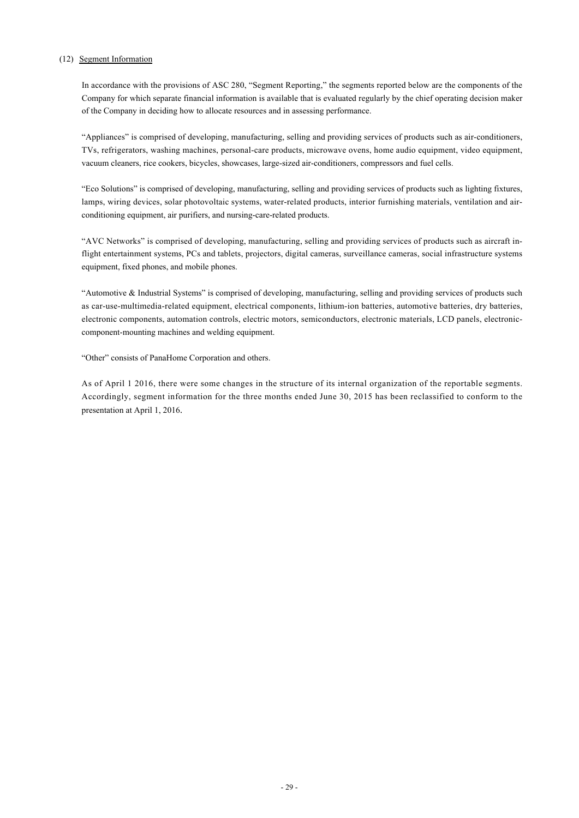### (12) Segment Information

In accordance with the provisions of ASC 280, "Segment Reporting," the segments reported below are the components of the Company for which separate financial information is available that is evaluated regularly by the chief operating decision maker of the Company in deciding how to allocate resources and in assessing performance.

"Appliances" is comprised of developing, manufacturing, selling and providing services of products such as air-conditioners, TVs, refrigerators, washing machines, personal-care products, microwave ovens, home audio equipment, video equipment, vacuum cleaners, rice cookers, bicycles, showcases, large-sized air-conditioners, compressors and fuel cells.

"Eco Solutions" is comprised of developing, manufacturing, selling and providing services of products such as lighting fixtures, lamps, wiring devices, solar photovoltaic systems, water-related products, interior furnishing materials, ventilation and airconditioning equipment, air purifiers, and nursing-care-related products.

"AVC Networks" is comprised of developing, manufacturing, selling and providing services of products such as aircraft inflight entertainment systems, PCs and tablets, projectors, digital cameras, surveillance cameras, social infrastructure systems equipment, fixed phones, and mobile phones.

"Automotive & Industrial Systems" is comprised of developing, manufacturing, selling and providing services of products such as car-use-multimedia-related equipment, electrical components, lithium-ion batteries, automotive batteries, dry batteries, electronic components, automation controls, electric motors, semiconductors, electronic materials, LCD panels, electroniccomponent-mounting machines and welding equipment.

"Other" consists of PanaHome Corporation and others.

As of April 1 2016, there were some changes in the structure of its internal organization of the reportable segments. Accordingly, segment information for the three months ended June 30, 2015 has been reclassified to conform to the presentation at April 1, 2016.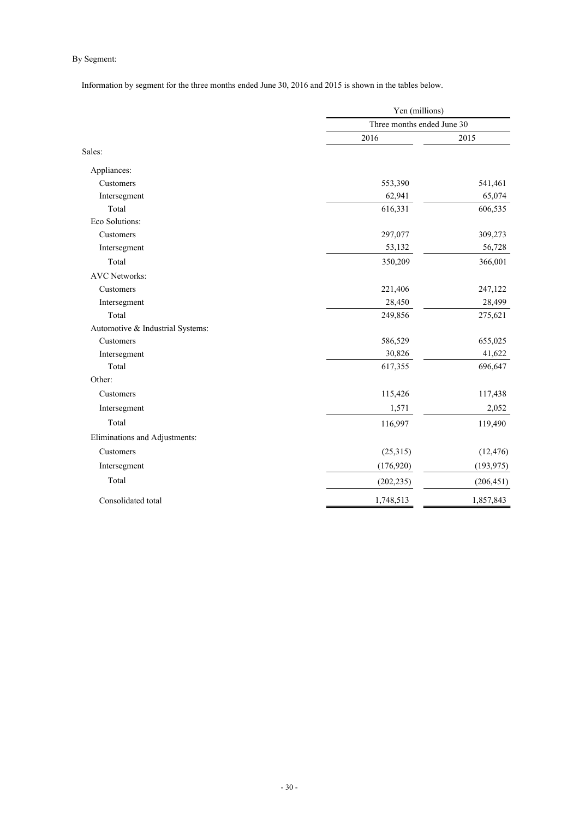### By Segment:

Information by segment for the three months ended June 30, 2016 and 2015 is shown in the tables below.

|                                  | Yen (millions)             |            |  |
|----------------------------------|----------------------------|------------|--|
|                                  | Three months ended June 30 |            |  |
|                                  | 2016                       | 2015       |  |
| Sales:                           |                            |            |  |
| Appliances:                      |                            |            |  |
| Customers                        | 553,390                    | 541,461    |  |
| Intersegment                     | 62,941                     | 65,074     |  |
| Total                            | 616,331                    | 606,535    |  |
| Eco Solutions:                   |                            |            |  |
| Customers                        | 297,077                    | 309,273    |  |
| Intersegment                     | 53,132                     | 56,728     |  |
| Total                            | 350,209                    | 366,001    |  |
| <b>AVC</b> Networks:             |                            |            |  |
| Customers                        | 221,406                    | 247,122    |  |
| Intersegment                     | 28,450                     | 28,499     |  |
| Total                            | 249,856                    | 275,621    |  |
| Automotive & Industrial Systems: |                            |            |  |
| Customers                        | 586,529                    | 655,025    |  |
| Intersegment                     | 30,826                     | 41,622     |  |
| Total                            | 617,355                    | 696,647    |  |
| Other:                           |                            |            |  |
| Customers                        | 115,426                    | 117,438    |  |
| Intersegment                     | 1,571                      | 2,052      |  |
| Total                            | 116,997                    | 119,490    |  |
| Eliminations and Adjustments:    |                            |            |  |
| Customers                        | (25,315)                   | (12, 476)  |  |
| Intersegment                     | (176, 920)                 | (193, 975) |  |
| Total                            | (202, 235)                 | (206, 451) |  |
| Consolidated total               | 1,748,513                  | 1,857,843  |  |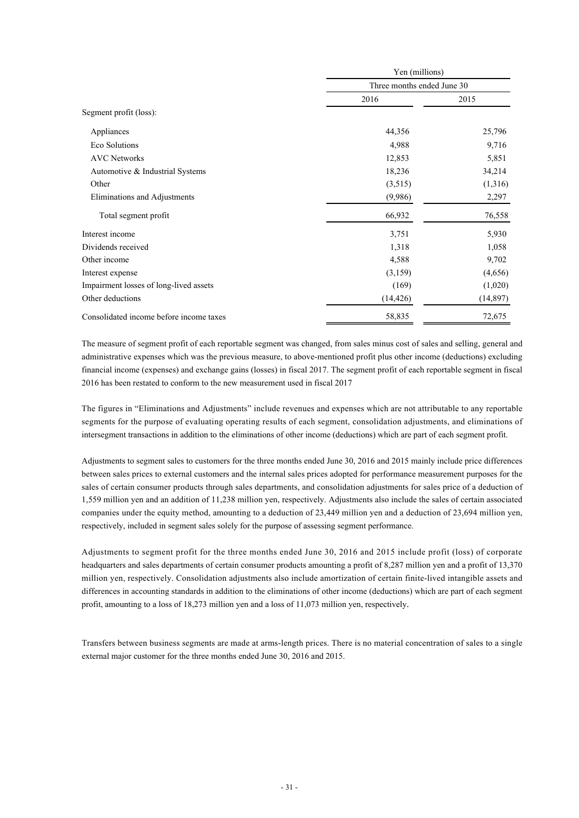|                                         | Yen (millions)<br>Three months ended June 30 |           |
|-----------------------------------------|----------------------------------------------|-----------|
|                                         |                                              |           |
|                                         | 2016                                         | 2015      |
| Segment profit (loss):                  |                                              |           |
| Appliances                              | 44,356                                       | 25,796    |
| Eco Solutions                           | 4,988                                        | 9,716     |
| <b>AVC Networks</b>                     | 12,853                                       | 5,851     |
| Automotive & Industrial Systems         | 18,236                                       | 34,214    |
| Other                                   | (3,515)                                      | (1,316)   |
| Eliminations and Adjustments            | (9,986)                                      | 2,297     |
| Total segment profit                    | 66,932                                       | 76,558    |
| Interest income                         | 3,751                                        | 5,930     |
| Dividends received                      | 1,318                                        | 1,058     |
| Other income                            | 4,588                                        | 9,702     |
| Interest expense                        | (3,159)                                      | (4,656)   |
| Impairment losses of long-lived assets  | (169)                                        | (1,020)   |
| Other deductions                        | (14, 426)                                    | (14, 897) |
| Consolidated income before income taxes | 58,835                                       | 72,675    |

The measure of segment profit of each reportable segment was changed, from sales minus cost of sales and selling, general and administrative expenses which was the previous measure, to above-mentioned profit plus other income (deductions) excluding financial income (expenses) and exchange gains (losses) in fiscal 2017. The segment profit of each reportable segment in fiscal 2016 has been restated to conform to the new measurement used in fiscal 2017

The figures in "Eliminations and Adjustments" include revenues and expenses which are not attributable to any reportable segments for the purpose of evaluating operating results of each segment, consolidation adjustments, and eliminations of intersegment transactions in addition to the eliminations of other income (deductions) which are part of each segment profit.

Adjustments to segment sales to customers for the three months ended June 30, 2016 and 2015 mainly include price differences between sales prices to external customers and the internal sales prices adopted for performance measurement purposes for the sales of certain consumer products through sales departments, and consolidation adjustments for sales price of a deduction of 1,559 million yen and an addition of 11,238 million yen, respectively. Adjustments also include the sales of certain associated companies under the equity method, amounting to a deduction of 23,449 million yen and a deduction of 23,694 million yen, respectively, included in segment sales solely for the purpose of assessing segment performance.

Adjustments to segment profit for the three months ended June 30, 2016 and 2015 include profit (loss) of corporate headquarters and sales departments of certain consumer products amounting a profit of 8,287 million yen and a profit of 13,370 million yen, respectively. Consolidation adjustments also include amortization of certain finite-lived intangible assets and differences in accounting standards in addition to the eliminations of other income (deductions) which are part of each segment profit, amounting to a loss of 18,273 million yen and a loss of 11,073 million yen, respectively.

Transfers between business segments are made at arms-length prices. There is no material concentration of sales to a single external major customer for the three months ended June 30, 2016 and 2015.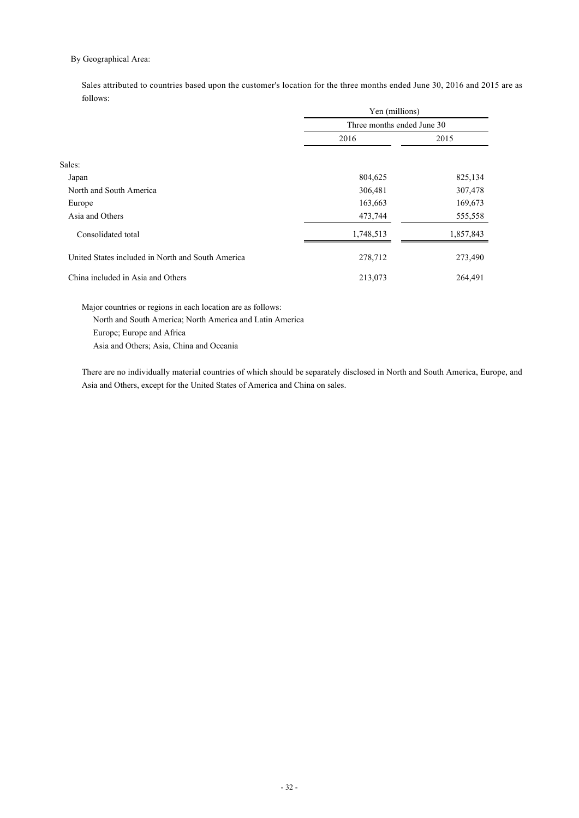### By Geographical Area:

Sales attributed to countries based upon the customer's location for the three months ended June 30, 2016 and 2015 are as follows:

|                                                   | Yen (millions)<br>Three months ended June 30 |           |
|---------------------------------------------------|----------------------------------------------|-----------|
|                                                   |                                              |           |
|                                                   | 2016                                         | 2015      |
|                                                   |                                              |           |
| Sales:                                            |                                              |           |
| Japan                                             | 804,625                                      | 825,134   |
| North and South America                           | 306,481                                      | 307,478   |
| Europe                                            | 163,663                                      | 169,673   |
| Asia and Others                                   | 473,744                                      | 555,558   |
| Consolidated total                                | 1,748,513                                    | 1,857,843 |
| United States included in North and South America | 278,712                                      | 273,490   |
| China included in Asia and Others                 | 213,073                                      | 264,491   |

Major countries or regions in each location are as follows: North and South America; North America and Latin America Europe; Europe and Africa Asia and Others; Asia, China and Oceania

There are no individually material countries of which should be separately disclosed in North and South America, Europe, and Asia and Others, except for the United States of America and China on sales.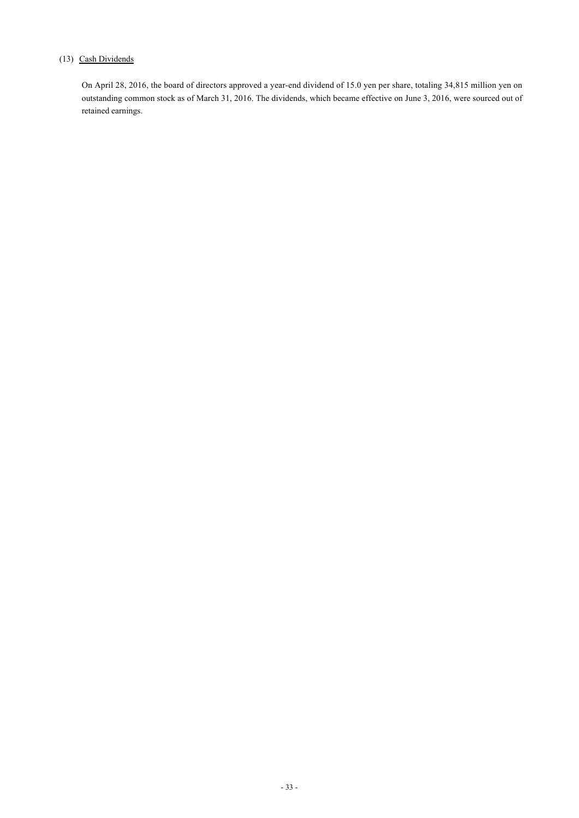### (13) Cash Dividends

On April 28, 2016, the board of directors approved a year-end dividend of 15.0 yen per share, totaling 34,815 million yen on outstanding common stock as of March 31, 2016. The dividends, which became effective on June 3, 2016, were sourced out of retained earnings.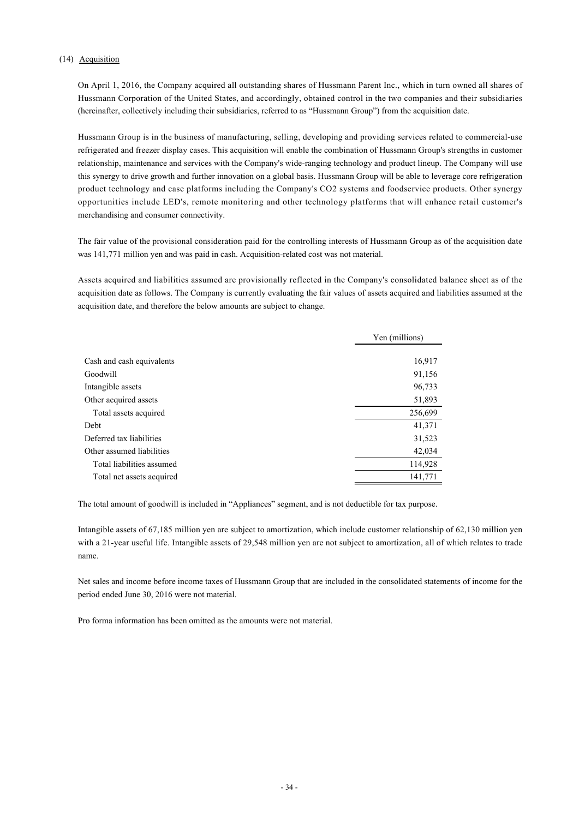### (14) Acquisition

On April 1, 2016, the Company acquired all outstanding shares of Hussmann Parent Inc., which in turn owned all shares of Hussmann Corporation of the United States, and accordingly, obtained control in the two companies and their subsidiaries (hereinafter, collectively including their subsidiaries, referred to as "Hussmann Group") from the acquisition date.

Hussmann Group is in the business of manufacturing, selling, developing and providing services related to commercial-use refrigerated and freezer display cases. This acquisition will enable the combination of Hussmann Group's strengths in customer relationship, maintenance and services with the Company's wide-ranging technology and product lineup. The Company will use this synergy to drive growth and further innovation on a global basis. Hussmann Group will be able to leverage core refrigeration product technology and case platforms including the Company's CO2 systems and foodservice products. Other synergy opportunities include LED's, remote monitoring and other technology platforms that will enhance retail customer's merchandising and consumer connectivity.

The fair value of the provisional consideration paid for the controlling interests of Hussmann Group as of the acquisition date was 141,771 million yen and was paid in cash. Acquisition-related cost was not material.

Assets acquired and liabilities assumed are provisionally reflected in the Company's consolidated balance sheet as of the acquisition date as follows. The Company is currently evaluating the fair values of assets acquired and liabilities assumed at the acquisition date, and therefore the below amounts are subject to change.

|                           | Yen (millions) |
|---------------------------|----------------|
| Cash and cash equivalents | 16,917         |
| Goodwill                  | 91,156         |
| Intangible assets         | 96,733         |
| Other acquired assets     | 51,893         |
| Total assets acquired     | 256,699        |
| Debt                      | 41,371         |
| Deferred tax liabilities  | 31,523         |
| Other assumed liabilities | 42,034         |
| Total liabilities assumed | 114,928        |
| Total net assets acquired | 141,771        |

The total amount of goodwill is included in "Appliances" segment, and is not deductible for tax purpose.

Intangible assets of 67,185 million yen are subject to amortization, which include customer relationship of 62,130 million yen with a 21-year useful life. Intangible assets of 29,548 million yen are not subject to amortization, all of which relates to trade name.

Net sales and income before income taxes of Hussmann Group that are included in the consolidated statements of income for the period ended June 30, 2016 were not material.

Pro forma information has been omitted as the amounts were not material.